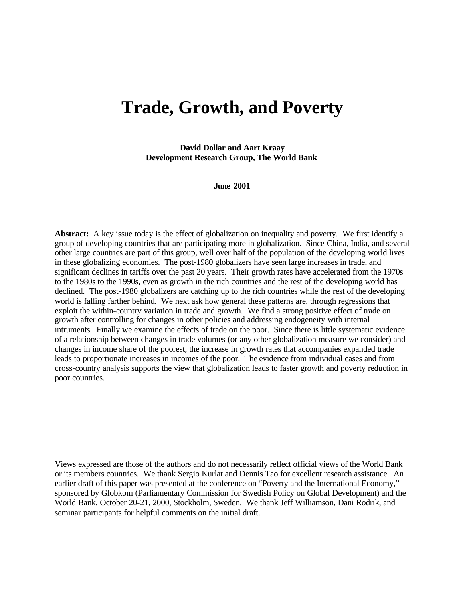# **Trade, Growth, and Poverty**

**David Dollar and Aart Kraay Development Research Group, The World Bank**

**June 2001**

**Abstract:** A key issue today is the effect of globalization on inequality and poverty. We first identify a group of developing countries that are participating more in globalization. Since China, India, and several other large countries are part of this group, well over half of the population of the developing world lives in these globalizing economies. The post-1980 globalizers have seen large increases in trade, and significant declines in tariffs over the past 20 years. Their growth rates have accelerated from the 1970s to the 1980s to the 1990s, even as growth in the rich countries and the rest of the developing world has declined. The post-1980 globalizers are catching up to the rich countries while the rest of the developing world is falling farther behind. We next ask how general these patterns are, through regressions that exploit the within-country variation in trade and growth. We find a strong positive effect of trade on growth after controlling for changes in other policies and addressing endogeneity with internal intruments. Finally we examine the effects of trade on the poor. Since there is little systematic evidence of a relationship between changes in trade volumes (or any other globalization measure we consider) and changes in income share of the poorest, the increase in growth rates that accompanies expanded trade leads to proportionate increases in incomes of the poor. The evidence from individual cases and from cross-country analysis supports the view that globalization leads to faster growth and poverty reduction in poor countries.

Views expressed are those of the authors and do not necessarily reflect official views of the World Bank or its members countries. We thank Sergio Kurlat and Dennis Tao for excellent research assistance. An earlier draft of this paper was presented at the conference on "Poverty and the International Economy," sponsored by Globkom (Parliamentary Commission for Swedish Policy on Global Development) and the World Bank, October 20-21, 2000, Stockholm, Sweden. We thank Jeff Williamson, Dani Rodrik, and seminar participants for helpful comments on the initial draft.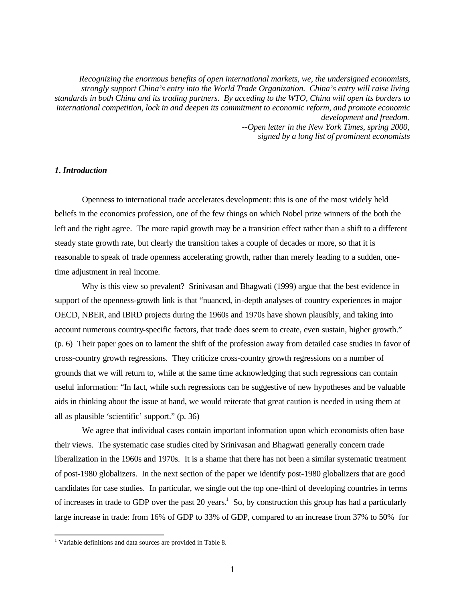*Recognizing the enormous benefits of open international markets, we, the undersigned economists, strongly support China's entry into the World Trade Organization. China's entry will raise living standards in both China and its trading partners. By acceding to the WTO, China will open its borders to international competition, lock in and deepen its commitment to economic reform, and promote economic development and freedom. --Open letter in the New York Times, spring 2000, signed by a long list of prominent economists*

### *1. Introduction*

Openness to international trade accelerates development: this is one of the most widely held beliefs in the economics profession, one of the few things on which Nobel prize winners of the both the left and the right agree. The more rapid growth may be a transition effect rather than a shift to a different steady state growth rate, but clearly the transition takes a couple of decades or more, so that it is reasonable to speak of trade openness accelerating growth, rather than merely leading to a sudden, onetime adjustment in real income.

Why is this view so prevalent? Srinivasan and Bhagwati (1999) argue that the best evidence in support of the openness-growth link is that "nuanced, in-depth analyses of country experiences in major OECD, NBER, and IBRD projects during the 1960s and 1970s have shown plausibly, and taking into account numerous country-specific factors, that trade does seem to create, even sustain, higher growth." (p. 6) Their paper goes on to lament the shift of the profession away from detailed case studies in favor of cross-country growth regressions. They criticize cross-country growth regressions on a number of grounds that we will return to, while at the same time acknowledging that such regressions can contain useful information: "In fact, while such regressions can be suggestive of new hypotheses and be valuable aids in thinking about the issue at hand, we would reiterate that great caution is needed in using them at all as plausible 'scientific' support." (p. 36)

We agree that individual cases contain important information upon which economists often base their views. The systematic case studies cited by Srinivasan and Bhagwati generally concern trade liberalization in the 1960s and 1970s. It is a shame that there has not been a similar systematic treatment of post-1980 globalizers. In the next section of the paper we identify post-1980 globalizers that are good candidates for case studies. In particular, we single out the top one-third of developing countries in terms of increases in trade to GDP over the past 20 years.<sup>1</sup> So, by construction this group has had a particularly large increase in trade: from 16% of GDP to 33% of GDP, compared to an increase from 37% to 50% for

<sup>&</sup>lt;sup>1</sup> Variable definitions and data sources are provided in Table 8.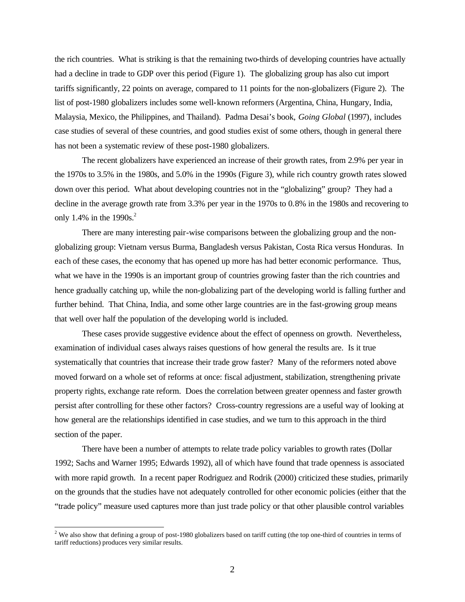the rich countries. What is striking is that the remaining two-thirds of developing countries have actually had a decline in trade to GDP over this period (Figure 1). The globalizing group has also cut import tariffs significantly, 22 points on average, compared to 11 points for the non-globalizers (Figure 2). The list of post-1980 globalizers includes some well-known reformers (Argentina, China, Hungary, India, Malaysia, Mexico, the Philippines, and Thailand). Padma Desai's book, *Going Global* (1997)*,* includes case studies of several of these countries, and good studies exist of some others, though in general there has not been a systematic review of these post-1980 globalizers.

The recent globalizers have experienced an increase of their growth rates, from 2.9% per year in the 1970s to 3.5% in the 1980s, and 5.0% in the 1990s (Figure 3), while rich country growth rates slowed down over this period. What about developing countries not in the "globalizing" group? They had a decline in the average growth rate from 3.3% per year in the 1970s to 0.8% in the 1980s and recovering to only 1.4% in the  $1990s<sup>2</sup>$ 

There are many interesting pair-wise comparisons between the globalizing group and the nonglobalizing group: Vietnam versus Burma, Bangladesh versus Pakistan, Costa Rica versus Honduras. In each of these cases, the economy that has opened up more has had better economic performance. Thus, what we have in the 1990s is an important group of countries growing faster than the rich countries and hence gradually catching up, while the non-globalizing part of the developing world is falling further and further behind. That China, India, and some other large countries are in the fast-growing group means that well over half the population of the developing world is included.

These cases provide suggestive evidence about the effect of openness on growth. Nevertheless, examination of individual cases always raises questions of how general the results are. Is it true systematically that countries that increase their trade grow faster? Many of the reformers noted above moved forward on a whole set of reforms at once: fiscal adjustment, stabilization, strengthening private property rights, exchange rate reform. Does the correlation between greater openness and faster growth persist after controlling for these other factors? Cross-country regressions are a useful way of looking at how general are the relationships identified in case studies, and we turn to this approach in the third section of the paper.

There have been a number of attempts to relate trade policy variables to growth rates (Dollar 1992; Sachs and Warner 1995; Edwards 1992), all of which have found that trade openness is associated with more rapid growth. In a recent paper Rodriguez and Rodrik (2000) criticized these studies, primarily on the grounds that the studies have not adequately controlled for other economic policies (either that the "trade policy" measure used captures more than just trade policy or that other plausible control variables

<sup>&</sup>lt;sup>2</sup> We also show that defining a group of post-1980 globalizers based on tariff cutting (the top one-third of countries in terms of tariff reductions) produces very similar results.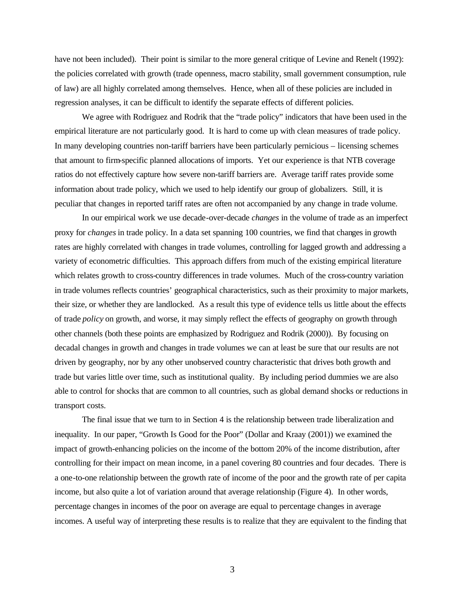have not been included). Their point is similar to the more general critique of Levine and Renelt (1992): the policies correlated with growth (trade openness, macro stability, small government consumption, rule of law) are all highly correlated among themselves. Hence, when all of these policies are included in regression analyses, it can be difficult to identify the separate effects of different policies.

We agree with Rodriguez and Rodrik that the "trade policy" indicators that have been used in the empirical literature are not particularly good. It is hard to come up with clean measures of trade policy. In many developing countries non-tariff barriers have been particularly pernicious – licensing schemes that amount to firm-specific planned allocations of imports. Yet our experience is that NTB coverage ratios do not effectively capture how severe non-tariff barriers are. Average tariff rates provide some information about trade policy, which we used to help identify our group of globalizers. Still, it is peculiar that changes in reported tariff rates are often not accompanied by any change in trade volume.

In our empirical work we use decade-over-decade *changes* in the volume of trade as an imperfect proxy for *changes* in trade policy. In a data set spanning 100 countries, we find that changes in growth rates are highly correlated with changes in trade volumes, controlling for lagged growth and addressing a variety of econometric difficulties. This approach differs from much of the existing empirical literature which relates growth to cross-country differences in trade volumes. Much of the cross-country variation in trade volumes reflects countries' geographical characteristics, such as their proximity to major markets, their size, or whether they are landlocked. As a result this type of evidence tells us little about the effects of trade *policy* on growth, and worse, it may simply reflect the effects of geography on growth through other channels (both these points are emphasized by Rodriguez and Rodrik (2000)). By focusing on decadal changes in growth and changes in trade volumes we can at least be sure that our results are not driven by geography, nor by any other unobserved country characteristic that drives both growth and trade but varies little over time, such as institutional quality. By including period dummies we are also able to control for shocks that are common to all countries, such as global demand shocks or reductions in transport costs.

The final issue that we turn to in Section 4 is the relationship between trade liberalization and inequality. In our paper, "Growth Is Good for the Poor" (Dollar and Kraay (2001)) we examined the impact of growth-enhancing policies on the income of the bottom 20% of the income distribution, after controlling for their impact on mean income, in a panel covering 80 countries and four decades. There is a one-to-one relationship between the growth rate of income of the poor and the growth rate of per capita income, but also quite a lot of variation around that average relationship (Figure 4). In other words, percentage changes in incomes of the poor on average are equal to percentage changes in average incomes. A useful way of interpreting these results is to realize that they are equivalent to the finding that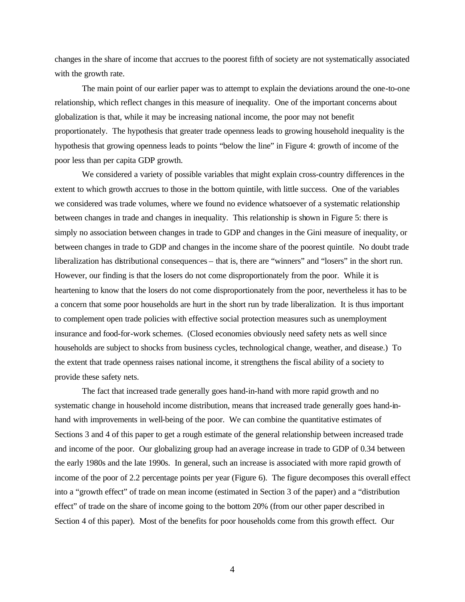changes in the share of income that accrues to the poorest fifth of society are not systematically associated with the growth rate.

The main point of our earlier paper was to attempt to explain the deviations around the one-to-one relationship, which reflect changes in this measure of inequality. One of the important concerns about globalization is that, while it may be increasing national income, the poor may not benefit proportionately. The hypothesis that greater trade openness leads to growing household inequality is the hypothesis that growing openness leads to points "below the line" in Figure 4: growth of income of the poor less than per capita GDP growth.

We considered a variety of possible variables that might explain cross-country differences in the extent to which growth accrues to those in the bottom quintile, with little success. One of the variables we considered was trade volumes, where we found no evidence whatsoever of a systematic relationship between changes in trade and changes in inequality. This relationship is shown in Figure 5: there is simply no association between changes in trade to GDP and changes in the Gini measure of inequality, or between changes in trade to GDP and changes in the income share of the poorest quintile. No doubt trade liberalization has distributional consequences – that is, there are "winners" and "losers" in the short run. However, our finding is that the losers do not come disproportionately from the poor. While it is heartening to know that the losers do not come disproportionately from the poor, nevertheless it has to be a concern that some poor households are hurt in the short run by trade liberalization. It is thus important to complement open trade policies with effective social protection measures such as unemployment insurance and food-for-work schemes. (Closed economies obviously need safety nets as well since households are subject to shocks from business cycles, technological change, weather, and disease.) To the extent that trade openness raises national income, it strengthens the fiscal ability of a society to provide these safety nets.

The fact that increased trade generally goes hand-in-hand with more rapid growth and no systematic change in household income distribution, means that increased trade generally goes hand-inhand with improvements in well-being of the poor. We can combine the quantitative estimates of Sections 3 and 4 of this paper to get a rough estimate of the general relationship between increased trade and income of the poor. Our globalizing group had an average increase in trade to GDP of 0.34 between the early 1980s and the late 1990s. In general, such an increase is associated with more rapid growth of income of the poor of 2.2 percentage points per year (Figure 6). The figure decomposes this overall effect into a "growth effect" of trade on mean income (estimated in Section 3 of the paper) and a "distribution effect" of trade on the share of income going to the bottom 20% (from our other paper described in Section 4 of this paper). Most of the benefits for poor households come from this growth effect. Our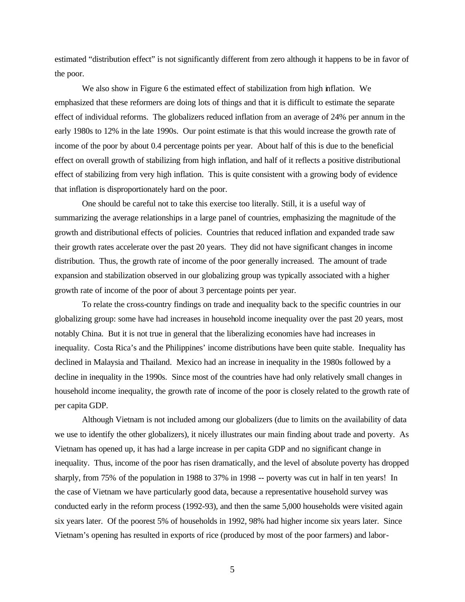estimated "distribution effect" is not significantly different from zero although it happens to be in favor of the poor.

We also show in Figure 6 the estimated effect of stabilization from high inflation. We emphasized that these reformers are doing lots of things and that it is difficult to estimate the separate effect of individual reforms. The globalizers reduced inflation from an average of 24% per annum in the early 1980s to 12% in the late 1990s. Our point estimate is that this would increase the growth rate of income of the poor by about 0.4 percentage points per year. About half of this is due to the beneficial effect on overall growth of stabilizing from high inflation, and half of it reflects a positive distributional effect of stabilizing from very high inflation. This is quite consistent with a growing body of evidence that inflation is disproportionately hard on the poor.

One should be careful not to take this exercise too literally. Still, it is a useful way of summarizing the average relationships in a large panel of countries, emphasizing the magnitude of the growth and distributional effects of policies. Countries that reduced inflation and expanded trade saw their growth rates accelerate over the past 20 years. They did not have significant changes in income distribution. Thus, the growth rate of income of the poor generally increased. The amount of trade expansion and stabilization observed in our globalizing group was typically associated with a higher growth rate of income of the poor of about 3 percentage points per year.

To relate the cross-country findings on trade and inequality back to the specific countries in our globalizing group: some have had increases in household income inequality over the past 20 years, most notably China. But it is not true in general that the liberalizing economies have had increases in inequality. Costa Rica's and the Philippines' income distributions have been quite stable. Inequality has declined in Malaysia and Thailand. Mexico had an increase in inequality in the 1980s followed by a decline in inequality in the 1990s. Since most of the countries have had only relatively small changes in household income inequality, the growth rate of income of the poor is closely related to the growth rate of per capita GDP.

Although Vietnam is not included among our globalizers (due to limits on the availability of data we use to identify the other globalizers), it nicely illustrates our main finding about trade and poverty. As Vietnam has opened up, it has had a large increase in per capita GDP and no significant change in inequality. Thus, income of the poor has risen dramatically, and the level of absolute poverty has dropped sharply, from 75% of the population in 1988 to 37% in 1998 -- poverty was cut in half in ten years! In the case of Vietnam we have particularly good data, because a representative household survey was conducted early in the reform process (1992-93), and then the same 5,000 households were visited again six years later. Of the poorest 5% of households in 1992, 98% had higher income six years later. Since Vietnam's opening has resulted in exports of rice (produced by most of the poor farmers) and labor-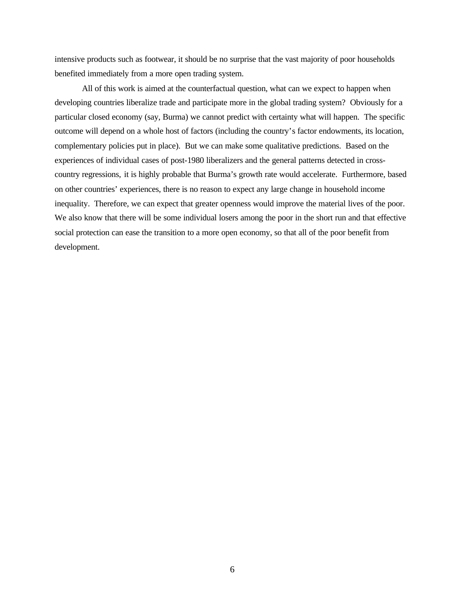intensive products such as footwear, it should be no surprise that the vast majority of poor households benefited immediately from a more open trading system.

All of this work is aimed at the counterfactual question, what can we expect to happen when developing countries liberalize trade and participate more in the global trading system? Obviously for a particular closed economy (say, Burma) we cannot predict with certainty what will happen. The specific outcome will depend on a whole host of factors (including the country's factor endowments, its location, complementary policies put in place). But we can make some qualitative predictions. Based on the experiences of individual cases of post-1980 liberalizers and the general patterns detected in crosscountry regressions, it is highly probable that Burma's growth rate would accelerate. Furthermore, based on other countries' experiences, there is no reason to expect any large change in household income inequality. Therefore, we can expect that greater openness would improve the material lives of the poor. We also know that there will be some individual losers among the poor in the short run and that effective social protection can ease the transition to a more open economy, so that all of the poor benefit from development.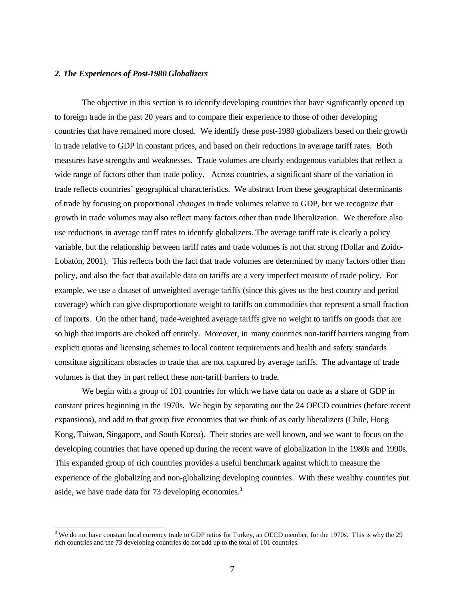### *2. The Experiences of Post-1980 Globalizers*

 $\overline{a}$ 

The objective in this section is to identify developing countries that have significantly opened up to foreign trade in the past 20 years and to compare their experience to those of other developing countries that have remained more closed. We identify these post-1980 globalizers based on their growth in trade relative to GDP in constant prices, and based on their reductions in average tariff rates. Both measures have strengths and weaknesses. Trade volumes are clearly endogenous variables that reflect a wide range of factors other than trade policy. Across countries, a significant share of the variation in trade reflects countries' geographical characteristics. We abstract from these geographical determinants of trade by focusing on proportional *changes* in trade volumes relative to GDP, but we recognize that growth in trade volumes may also reflect many factors other than trade liberalization. We therefore also use reductions in average tariff rates to identify globalizers. The average tariff rate is clearly a policy variable, but the relationship between tariff rates and trade volumes is not that strong (Dollar and Zoido-Lobatón, 2001). This reflects both the fact that trade volumes are determined by many factors other than policy, and also the fact that available data on tariffs are a very imperfect measure of trade policy. For example, we use a dataset of unweighted average tariffs (since this gives us the best country and period coverage) which can give disproportionate weight to tariffs on commodities that represent a small fraction of imports. On the other hand, trade-weighted average tariffs give no weight to tariffs on goods that are so high that imports are choked off entirely. Moreover, in many countries non-tariff barriers ranging from explicit quotas and licensing schemes to local content requirements and health and safety standards constitute significant obstacles to trade that are not captured by average tariffs. The advantage of trade volumes is that they in part reflect these non-tariff barriers to trade.

We begin with a group of 101 countries for which we have data on trade as a share of GDP in constant prices beginning in the 1970s. We begin by separating out the 24 OECD countries (before recent expansions), and add to that group five economies that we think of as early liberalizers (Chile, Hong Kong, Taiwan, Singapore, and South Korea). Their stories are well known, and we want to focus on the developing countries that have opened up during the recent wave of globalization in the 1980s and 1990s. This expanded group of rich countries provides a useful benchmark against which to measure the experience of the globalizing and non-globalizing developing countries. With these wealthy countries put aside, we have trade data for 73 developing economies.<sup>3</sup>

 $3$  We do not have constant local currency trade to GDP ratios for Turkey, an OECD member, for the 1970s. This is why the 29 rich countries and the 73 developing countries do not add up to the total of 101 countries.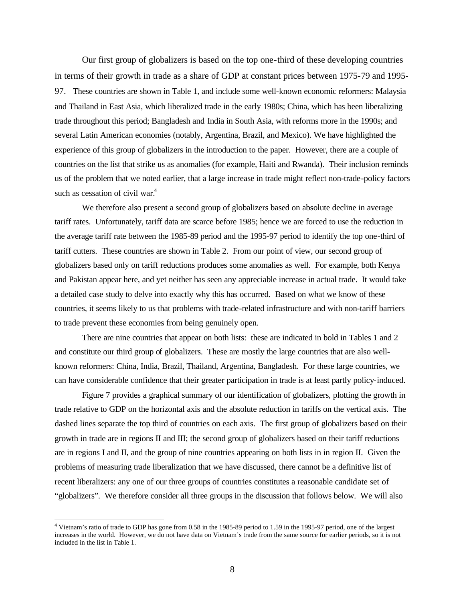Our first group of globalizers is based on the top one-third of these developing countries in terms of their growth in trade as a share of GDP at constant prices between 1975-79 and 1995- 97. These countries are shown in Table 1, and include some well-known economic reformers: Malaysia and Thailand in East Asia, which liberalized trade in the early 1980s; China, which has been liberalizing trade throughout this period; Bangladesh and India in South Asia, with reforms more in the 1990s; and several Latin American economies (notably, Argentina, Brazil, and Mexico). We have highlighted the experience of this group of globalizers in the introduction to the paper. However, there are a couple of countries on the list that strike us as anomalies (for example, Haiti and Rwanda). Their inclusion reminds us of the problem that we noted earlier, that a large increase in trade might reflect non-trade-policy factors such as cessation of civil war. $4$ 

We therefore also present a second group of globalizers based on absolute decline in average tariff rates. Unfortunately, tariff data are scarce before 1985; hence we are forced to use the reduction in the average tariff rate between the 1985-89 period and the 1995-97 period to identify the top one-third of tariff cutters. These countries are shown in Table 2. From our point of view, our second group of globalizers based only on tariff reductions produces some anomalies as well. For example, both Kenya and Pakistan appear here, and yet neither has seen any appreciable increase in actual trade. It would take a detailed case study to delve into exactly why this has occurred. Based on what we know of these countries, it seems likely to us that problems with trade-related infrastructure and with non-tariff barriers to trade prevent these economies from being genuinely open.

There are nine countries that appear on both lists: these are indicated in bold in Tables 1 and 2 and constitute our third group of globalizers. These are mostly the large countries that are also wellknown reformers: China, India, Brazil, Thailand, Argentina, Bangladesh. For these large countries, we can have considerable confidence that their greater participation in trade is at least partly policy-induced.

Figure 7 provides a graphical summary of our identification of globalizers, plotting the growth in trade relative to GDP on the horizontal axis and the absolute reduction in tariffs on the vertical axis. The dashed lines separate the top third of countries on each axis. The first group of globalizers based on their growth in trade are in regions II and III; the second group of globalizers based on their tariff reductions are in regions I and II, and the group of nine countries appearing on both lists in in region II. Given the problems of measuring trade liberalization that we have discussed, there cannot be a definitive list of recent liberalizers: any one of our three groups of countries constitutes a reasonable candidate set of "globalizers". We therefore consider all three groups in the discussion that follows below. We will also

<sup>4</sup> Vietnam's ratio of trade to GDP has gone from 0.58 in the 1985-89 period to 1.59 in the 1995-97 period, one of the largest increases in the world. However, we do not have data on Vietnam's trade from the same source for earlier periods, so it is not included in the list in Table 1.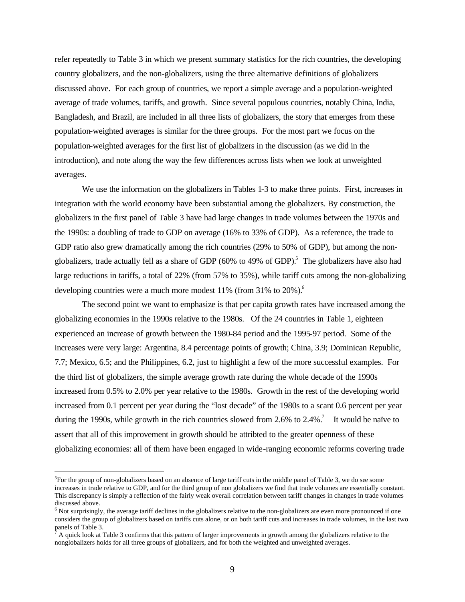refer repeatedly to Table 3 in which we present summary statistics for the rich countries, the developing country globalizers, and the non-globalizers, using the three alternative definitions of globalizers discussed above. For each group of countries, we report a simple average and a population-weighted average of trade volumes, tariffs, and growth. Since several populous countries, notably China, India, Bangladesh, and Brazil, are included in all three lists of globalizers, the story that emerges from these population-weighted averages is similar for the three groups. For the most part we focus on the population-weighted averages for the first list of globalizers in the discussion (as we did in the introduction), and note along the way the few differences across lists when we look at unweighted averages.

We use the information on the globalizers in Tables 1-3 to make three points. First, increases in integration with the world economy have been substantial among the globalizers. By construction, the globalizers in the first panel of Table 3 have had large changes in trade volumes between the 1970s and the 1990s: a doubling of trade to GDP on average (16% to 33% of GDP). As a reference, the trade to GDP ratio also grew dramatically among the rich countries (29% to 50% of GDP), but among the nonglobalizers, trade actually fell as a share of GDP ( $60\%$  to 49% of GDP).<sup>5</sup> The globalizers have also had large reductions in tariffs, a total of 22% (from 57% to 35%), while tariff cuts among the non-globalizing developing countries were a much more modest  $11\%$  (from 31% to 20%).<sup>6</sup>

The second point we want to emphasize is that per capita growth rates have increased among the globalizing economies in the 1990s relative to the 1980s. Of the 24 countries in Table 1, eighteen experienced an increase of growth between the 1980-84 period and the 1995-97 period. Some of the increases were very large: Argentina, 8.4 percentage points of growth; China, 3.9; Dominican Republic, 7.7; Mexico, 6.5; and the Philippines, 6.2, just to highlight a few of the more successful examples. For the third list of globalizers, the simple average growth rate during the whole decade of the 1990s increased from 0.5% to 2.0% per year relative to the 1980s. Growth in the rest of the developing world increased from 0.1 percent per year during the "lost decade" of the 1980s to a scant 0.6 percent per year during the 1990s, while growth in the rich countries slowed from 2.6% to 2.4%.<sup>7</sup> It would be naïve to assert that all of this improvement in growth should be attribted to the greater openness of these globalizing economies: all of them have been engaged in wide-ranging economic reforms covering trade

<sup>5</sup>For the group of non-globalizers based on an absence of large tariff cuts in the middle panel of Table 3, we do see some increases in trade relative to GDP, and for the third group of non globalizers we find that trade volumes are essentially constant. This discrepancy is simply a reflection of the fairly weak overall correlation between tariff changes in changes in trade volumes discussed above.

<sup>&</sup>lt;sup>6</sup> Not surprisingly, the average tariff declines in the globalizers relative to the non-globalizers are even more pronounced if one considers the group of globalizers based on tariffs cuts alone, or on both tariff cuts and increases in trade volumes, in the last two panels of Table 3.

A quick look at Table 3 confirms that this pattern of larger improvements in growth among the globalizers relative to the nonglobalizers holds for all three groups of globalizers, and for both the weighted and unweighted averages.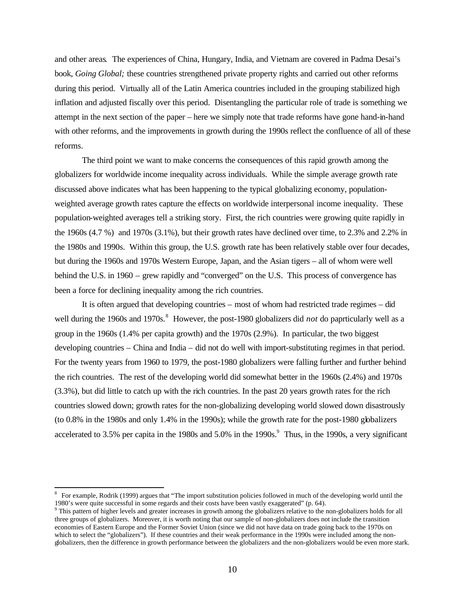and other areas*.* The experiences of China, Hungary, India, and Vietnam are covered in Padma Desai's book, *Going Global;* these countries strengthened private property rights and carried out other reforms during this period. Virtually all of the Latin America countries included in the grouping stabilized high inflation and adjusted fiscally over this period. Disentangling the particular role of trade is something we attempt in the next section of the paper – here we simply note that trade reforms have gone hand-in-hand with other reforms, and the improvements in growth during the 1990s reflect the confluence of all of these reforms.

The third point we want to make concerns the consequences of this rapid growth among the globalizers for worldwide income inequality across individuals. While the simple average growth rate discussed above indicates what has been happening to the typical globalizing economy, populationweighted average growth rates capture the effects on worldwide interpersonal income inequality. These population-weighted averages tell a striking story. First, the rich countries were growing quite rapidly in the 1960s (4.7 %) and 1970s (3.1%), but their growth rates have declined over time, to 2.3% and 2.2% in the 1980s and 1990s. Within this group, the U.S. growth rate has been relatively stable over four decades, but during the 1960s and 1970s Western Europe, Japan, and the Asian tigers – all of whom were well behind the U.S. in 1960 – grew rapidly and "converged" on the U.S. This process of convergence has been a force for declining inequality among the rich countries.

It is often argued that developing countries – most of whom had restricted trade regimes – did well during the 1960s and 1970s.<sup>8</sup> However, the post-1980 globalizers did *not* do paprticularly well as a group in the 1960s (1.4% per capita growth) and the 1970s (2.9%). In particular, the two biggest developing countries – China and India – did not do well with import-substituting regimes in that period. For the twenty years from 1960 to 1979, the post-1980 globalizers were falling further and further behind the rich countries. The rest of the developing world did somewhat better in the 1960s (2.4%) and 1970s (3.3%), but did little to catch up with the rich countries. In the past 20 years growth rates for the rich countries slowed down; growth rates for the non-globalizing developing world slowed down disastrously (to 0.8% in the 1980s and only 1.4% in the 1990s); while the growth rate for the post-1980 globalizers accelerated to 3.5% per capita in the 1980s and  $5.0\%$  in the 1990s.<sup>9</sup> Thus, in the 1990s, a very significant

<sup>&</sup>lt;sup>8</sup> For example, Rodrik (1999) argues that "The import substitution policies followed in much of the developing world until the 1980's were quite successful in some regards and their costs have been vastly exaggerated" (p. 64).

<sup>&</sup>lt;sup>9</sup> This pattern of higher levels and greater increases in growth among the globalizers relative to the non-globalizers holds for all three groups of globalizers. Moreover, it is worth noting that our sample of non-globalizers does not include the transition economies of Eastern Europe and the Former Soviet Union (since we did not have data on trade going back to the 1970s on which to select the "globalizers"). If these countries and their weak performance in the 1990s were included among the nonglobalizers, then the difference in growth performance between the globalizers and the non-globalizers would be even more stark.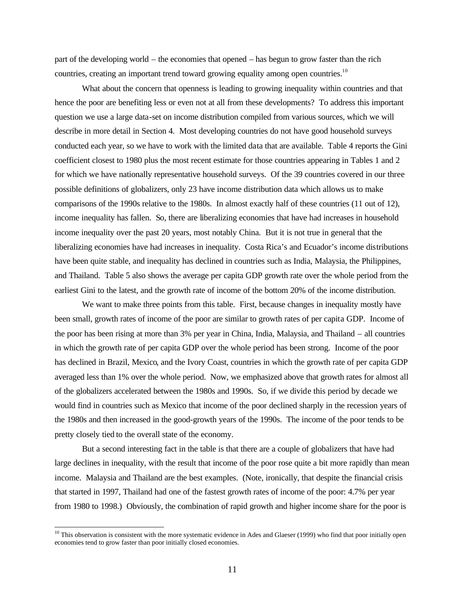part of the developing world – the economies that opened – has begun to grow faster than the rich countries, creating an important trend toward growing equality among open countries.<sup>10</sup>

What about the concern that openness is leading to growing inequality within countries and that hence the poor are benefiting less or even not at all from these developments? To address this important question we use a large data-set on income distribution compiled from various sources, which we will describe in more detail in Section 4. Most developing countries do not have good household surveys conducted each year, so we have to work with the limited data that are available. Table 4 reports the Gini coefficient closest to 1980 plus the most recent estimate for those countries appearing in Tables 1 and 2 for which we have nationally representative household surveys. Of the 39 countries covered in our three possible definitions of globalizers, only 23 have income distribution data which allows us to make comparisons of the 1990s relative to the 1980s. In almost exactly half of these countries (11 out of 12), income inequality has fallen. So, there are liberalizing economies that have had increases in household income inequality over the past 20 years, most notably China. But it is not true in general that the liberalizing economies have had increases in inequality. Costa Rica's and Ecuador's income distributions have been quite stable, and inequality has declined in countries such as India, Malaysia, the Philippines, and Thailand. Table 5 also shows the average per capita GDP growth rate over the whole period from the earliest Gini to the latest, and the growth rate of income of the bottom 20% of the income distribution.

We want to make three points from this table. First, because changes in inequality mostly have been small, growth rates of income of the poor are similar to growth rates of per capita GDP. Income of the poor has been rising at more than 3% per year in China, India, Malaysia, and Thailand – all countries in which the growth rate of per capita GDP over the whole period has been strong. Income of the poor has declined in Brazil, Mexico, and the Ivory Coast, countries in which the growth rate of per capita GDP averaged less than 1% over the whole period. Now, we emphasized above that growth rates for almost all of the globalizers accelerated between the 1980s and 1990s. So, if we divide this period by decade we would find in countries such as Mexico that income of the poor declined sharply in the recession years of the 1980s and then increased in the good-growth years of the 1990s. The income of the poor tends to be pretty closely tied to the overall state of the economy.

But a second interesting fact in the table is that there are a couple of globalizers that have had large declines in inequality, with the result that income of the poor rose quite a bit more rapidly than mean income. Malaysia and Thailand are the best examples. (Note, ironically, that despite the financial crisis that started in 1997, Thailand had one of the fastest growth rates of income of the poor: 4.7% per year from 1980 to 1998.) Obviously, the combination of rapid growth and higher income share for the poor is

 $10$  This observation is consistent with the more systematic evidence in Ades and Glaeser (1999) who find that poor initially open economies tend to grow faster than poor initially closed economies.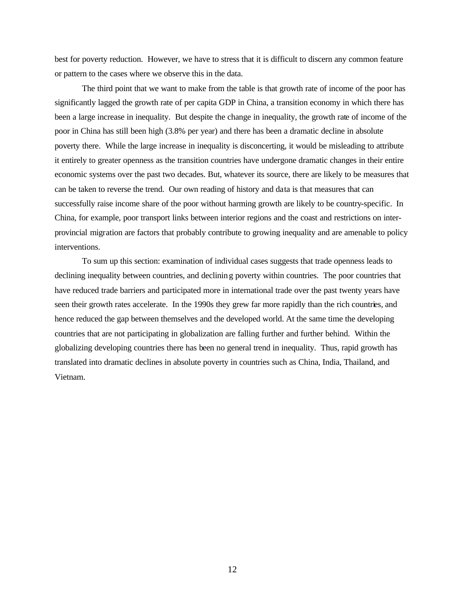best for poverty reduction. However, we have to stress that it is difficult to discern any common feature or pattern to the cases where we observe this in the data.

The third point that we want to make from the table is that growth rate of income of the poor has significantly lagged the growth rate of per capita GDP in China, a transition economy in which there has been a large increase in inequality. But despite the change in inequality, the growth rate of income of the poor in China has still been high (3.8% per year) and there has been a dramatic decline in absolute poverty there. While the large increase in inequality is disconcerting, it would be misleading to attribute it entirely to greater openness as the transition countries have undergone dramatic changes in their entire economic systems over the past two decades. But, whatever its source, there are likely to be measures that can be taken to reverse the trend. Our own reading of history and data is that measures that can successfully raise income share of the poor without harming growth are likely to be country-specific. In China, for example, poor transport links between interior regions and the coast and restrictions on interprovincial migration are factors that probably contribute to growing inequality and are amenable to policy interventions.

To sum up this section: examination of individual cases suggests that trade openness leads to declining inequality between countries, and declining poverty within countries. The poor countries that have reduced trade barriers and participated more in international trade over the past twenty years have seen their growth rates accelerate. In the 1990s they grew far more rapidly than the rich countries, and hence reduced the gap between themselves and the developed world. At the same time the developing countries that are not participating in globalization are falling further and further behind. Within the globalizing developing countries there has been no general trend in inequality. Thus, rapid growth has translated into dramatic declines in absolute poverty in countries such as China, India, Thailand, and Vietnam.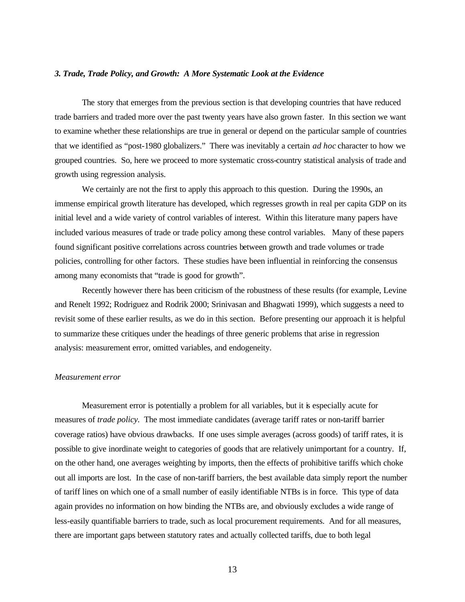### *3. Trade, Trade Policy, and Growth: A More Systematic Look at the Evidence*

The story that emerges from the previous section is that developing countries that have reduced trade barriers and traded more over the past twenty years have also grown faster. In this section we want to examine whether these relationships are true in general or depend on the particular sample of countries that we identified as "post-1980 globalizers." There was inevitably a certain *ad hoc* character to how we grouped countries. So, here we proceed to more systematic cross-country statistical analysis of trade and growth using regression analysis.

We certainly are not the first to apply this approach to this question. During the 1990s, an immense empirical growth literature has developed, which regresses growth in real per capita GDP on its initial level and a wide variety of control variables of interest. Within this literature many papers have included various measures of trade or trade policy among these control variables. Many of these papers found significant positive correlations across countries between growth and trade volumes or trade policies, controlling for other factors. These studies have been influential in reinforcing the consensus among many economists that "trade is good for growth".

Recently however there has been criticism of the robustness of these results (for example, Levine and Renelt 1992; Rodriguez and Rodrik 2000; Srinivasan and Bhagwati 1999), which suggests a need to revisit some of these earlier results, as we do in this section. Before presenting our approach it is helpful to summarize these critiques under the headings of three generic problems that arise in regression analysis: measurement error, omitted variables, and endogeneity.

#### *Measurement error*

Measurement error is potentially a problem for all variables, but it is especially acute for measures of *trade policy.* The most immediate candidates (average tariff rates or non-tariff barrier coverage ratios) have obvious drawbacks. If one uses simple averages (across goods) of tariff rates, it is possible to give inordinate weight to categories of goods that are relatively unimportant for a country. If, on the other hand, one averages weighting by imports, then the effects of prohibitive tariffs which choke out all imports are lost. In the case of non-tariff barriers, the best available data simply report the number of tariff lines on which one of a small number of easily identifiable NTBs is in force. This type of data again provides no information on how binding the NTBs are, and obviously excludes a wide range of less-easily quantifiable barriers to trade, such as local procurement requirements. And for all measures, there are important gaps between statutory rates and actually collected tariffs, due to both legal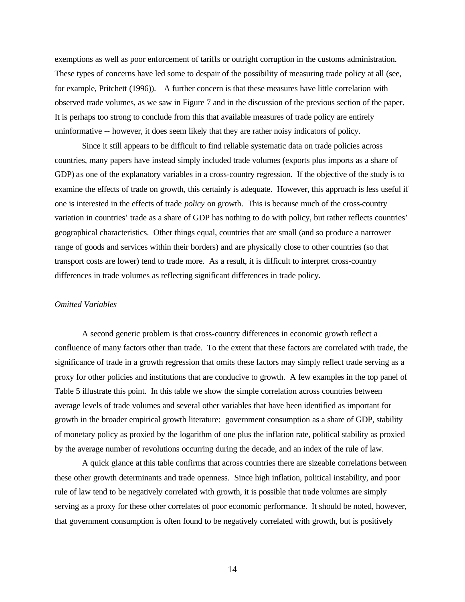exemptions as well as poor enforcement of tariffs or outright corruption in the customs administration. These types of concerns have led some to despair of the possibility of measuring trade policy at all (see, for example, Pritchett (1996)). A further concern is that these measures have little correlation with observed trade volumes, as we saw in Figure 7 and in the discussion of the previous section of the paper. It is perhaps too strong to conclude from this that available measures of trade policy are entirely uninformative -- however, it does seem likely that they are rather noisy indicators of policy.

Since it still appears to be difficult to find reliable systematic data on trade policies across countries, many papers have instead simply included trade volumes (exports plus imports as a share of GDP) as one of the explanatory variables in a cross-country regression. If the objective of the study is to examine the effects of trade on growth, this certainly is adequate. However, this approach is less useful if one is interested in the effects of trade *policy* on growth. This is because much of the cross-country variation in countries' trade as a share of GDP has nothing to do with policy, but rather reflects countries' geographical characteristics. Other things equal, countries that are small (and so produce a narrower range of goods and services within their borders) and are physically close to other countries (so that transport costs are lower) tend to trade more. As a result, it is difficult to interpret cross-country differences in trade volumes as reflecting significant differences in trade policy.

#### *Omitted Variables*

A second generic problem is that cross-country differences in economic growth reflect a confluence of many factors other than trade. To the extent that these factors are correlated with trade, the significance of trade in a growth regression that omits these factors may simply reflect trade serving as a proxy for other policies and institutions that are conducive to growth. A few examples in the top panel of Table 5 illustrate this point. In this table we show the simple correlation across countries between average levels of trade volumes and several other variables that have been identified as important for growth in the broader empirical growth literature: government consumption as a share of GDP, stability of monetary policy as proxied by the logarithm of one plus the inflation rate, political stability as proxied by the average number of revolutions occurring during the decade, and an index of the rule of law.

A quick glance at this table confirms that across countries there are sizeable correlations between these other growth determinants and trade openness. Since high inflation, political instability, and poor rule of law tend to be negatively correlated with growth, it is possible that trade volumes are simply serving as a proxy for these other correlates of poor economic performance. It should be noted, however, that government consumption is often found to be negatively correlated with growth, but is positively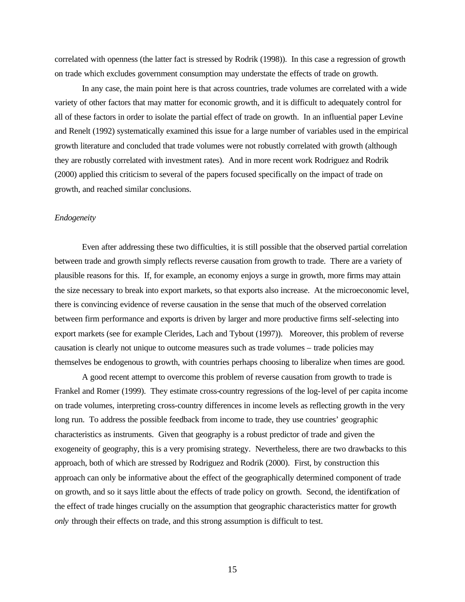correlated with openness (the latter fact is stressed by Rodrik (1998)). In this case a regression of growth on trade which excludes government consumption may understate the effects of trade on growth.

In any case, the main point here is that across countries, trade volumes are correlated with a wide variety of other factors that may matter for economic growth, and it is difficult to adequately control for all of these factors in order to isolate the partial effect of trade on growth. In an influential paper Levine and Renelt (1992) systematically examined this issue for a large number of variables used in the empirical growth literature and concluded that trade volumes were not robustly correlated with growth (although they are robustly correlated with investment rates). And in more recent work Rodriguez and Rodrik (2000) applied this criticism to several of the papers focused specifically on the impact of trade on growth, and reached similar conclusions.

### *Endogeneity*

Even after addressing these two difficulties, it is still possible that the observed partial correlation between trade and growth simply reflects reverse causation from growth to trade. There are a variety of plausible reasons for this. If, for example, an economy enjoys a surge in growth, more firms may attain the size necessary to break into export markets, so that exports also increase. At the microeconomic level, there is convincing evidence of reverse causation in the sense that much of the observed correlation between firm performance and exports is driven by larger and more productive firms self-selecting into export markets (see for example Clerides, Lach and Tybout (1997)). Moreover, this problem of reverse causation is clearly not unique to outcome measures such as trade volumes – trade policies may themselves be endogenous to growth, with countries perhaps choosing to liberalize when times are good.

A good recent attempt to overcome this problem of reverse causation from growth to trade is Frankel and Romer (1999). They estimate cross-country regressions of the log-level of per capita income on trade volumes, interpreting cross-country differences in income levels as reflecting growth in the very long run. To address the possible feedback from income to trade, they use countries' geographic characteristics as instruments. Given that geography is a robust predictor of trade and given the exogeneity of geography, this is a very promising strategy. Nevertheless, there are two drawbacks to this approach, both of which are stressed by Rodriguez and Rodrik (2000). First, by construction this approach can only be informative about the effect of the geographically determined component of trade on growth, and so it says little about the effects of trade policy on growth. Second, the identification of the effect of trade hinges crucially on the assumption that geographic characteristics matter for growth *only* through their effects on trade, and this strong assumption is difficult to test.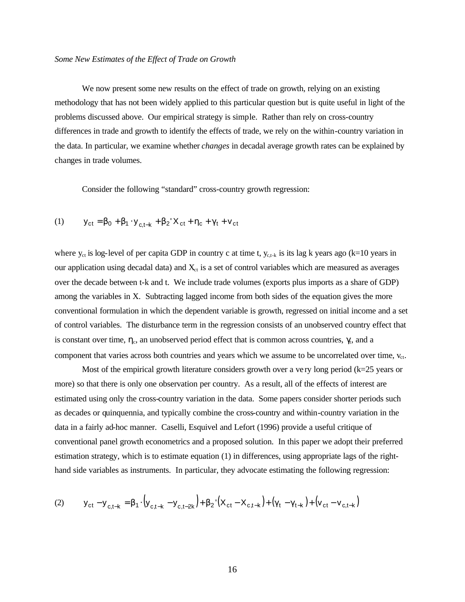### *Some New Estimates of the Effect of Trade on Growth*

We now present some new results on the effect of trade on growth, relying on an existing methodology that has not been widely applied to this particular question but is quite useful in light of the problems discussed above. Our empirical strategy is simple. Rather than rely on cross-country differences in trade and growth to identify the effects of trade, we rely on the within-country variation in the data. In particular, we examine whether *changes* in decadal average growth rates can be explained by changes in trade volumes.

Consider the following "standard" cross-country growth regression:

(1) 
$$
y_{ct} = \beta_0 + \beta_1 \cdot y_{c,t-k} + \beta_2' X_{ct} + \eta_c + \gamma_t + v_{ct}
$$

where  $y_{ct}$  is log-level of per capita GDP in country c at time t,  $y_{ct-k}$  is its lag k years ago (k=10 years in our application using decadal data) and  $X<sub>ct</sub>$  is a set of control variables which are measured as averages over the decade between t-k and t. We include trade volumes (exports plus imports as a share of GDP) among the variables in X. Subtracting lagged income from both sides of the equation gives the more conventional formulation in which the dependent variable is growth, regressed on initial income and a set of control variables. The disturbance term in the regression consists of an unobserved country effect that is constant over time,  $\eta_c$ , an unobserved period effect that is common across countries,  $\gamma_t$ , and a component that varies across both countries and years which we assume to be uncorrelated over time,  $v_{ct}$ .

Most of the empirical growth literature considers growth over a very long period  $(k=25)$  years or more) so that there is only one observation per country. As a result, all of the effects of interest are estimated using only the cross-country variation in the data. Some papers consider shorter periods such as decades or quinquennia, and typically combine the cross-country and within-country variation in the data in a fairly ad-hoc manner. Caselli, Esquivel and Lefort (1996) provide a useful critique of conventional panel growth econometrics and a proposed solution. In this paper we adopt their preferred estimation strategy, which is to estimate equation (1) in differences, using appropriate lags of the righthand side variables as instruments. In particular, they advocate estimating the following regression:

(2) 
$$
y_{ct} - y_{c,t-k} = \beta_1 \cdot (y_{c,t-k} - y_{c,t-2k}) + \beta_2 \cdot (X_{ct} - X_{c,t-k}) + (\gamma_t - \gamma_{t-k}) + (v_{ct} - v_{c,t-k})
$$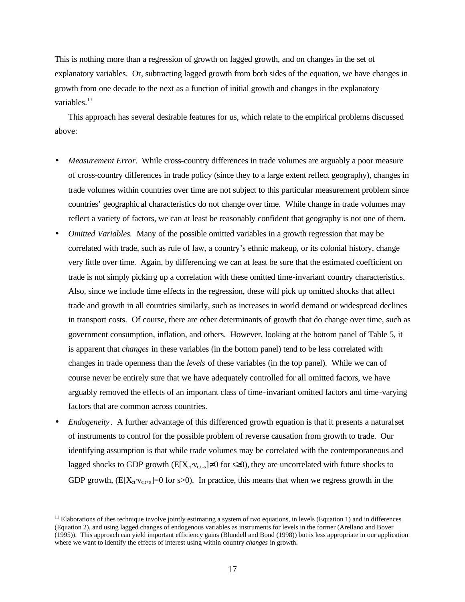This is nothing more than a regression of growth on lagged growth, and on changes in the set of explanatory variables. Or, subtracting lagged growth from both sides of the equation, we have changes in growth from one decade to the next as a function of initial growth and changes in the explanatory variables.<sup>11</sup>

This approach has several desirable features for us, which relate to the empirical problems discussed above:

- *Measurement Error.* While cross-country differences in trade volumes are arguably a poor measure of cross-country differences in trade policy (since they to a large extent reflect geography), changes in trade volumes within countries over time are not subject to this particular measurement problem since countries' geographic al characteristics do not change over time. While change in trade volumes may reflect a variety of factors, we can at least be reasonably confident that geography is not one of them.
- *Omitted Variables.* Many of the possible omitted variables in a growth regression that may be correlated with trade, such as rule of law, a country's ethnic makeup, or its colonial history, change very little over time. Again, by differencing we can at least be sure that the estimated coefficient on trade is not simply picking up a correlation with these omitted time-invariant country characteristics. Also, since we include time effects in the regression, these will pick up omitted shocks that affect trade and growth in all countries similarly, such as increases in world demand or widespread declines in transport costs. Of course, there are other determinants of growth that do change over time, such as government consumption, inflation, and others. However, looking at the bottom panel of Table 5, it is apparent that *changes* in these variables (in the bottom panel) tend to be less correlated with changes in trade openness than the *levels* of these variables (in the top panel). While we can of course never be entirely sure that we have adequately controlled for all omitted factors, we have arguably removed the effects of an important class of time-invariant omitted factors and time-varying factors that are common across countries.
- *Endogeneity* . A further advantage of this differenced growth equation is that it presents a natural set of instruments to control for the possible problem of reverse causation from growth to trade. Our identifying assumption is that while trade volumes may be correlated with the contemporaneous and lagged shocks to GDP growth ( $E[X_{ct} \cdot v_{ct-s}] \neq 0$  for s≥0), they are uncorrelated with future shocks to GDP growth,  $(E[X_{\text{ct}} \cdot V_{\text{ct}}+s]=0$  for s>0). In practice, this means that when we regress growth in the

 $<sup>11</sup>$  Elaborations of thes technique involve jointly estimating a system of two equations, in levels (Equation 1) and in differences</sup> (Equation 2), and using lagged changes of endogenous variables as instruments for levels in the former (Arellano and Bover (1995)). This approach can yield important efficiency gains (Blundell and Bond (1998)) but is less appropriate in our application where we want to identify the effects of interest using within country *changes* in growth.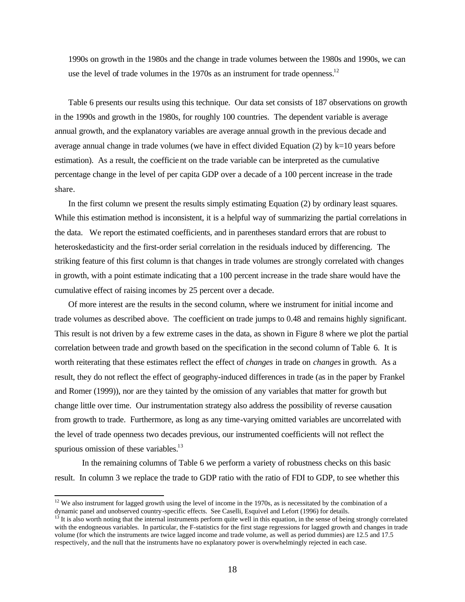1990s on growth in the 1980s and the change in trade volumes between the 1980s and 1990s, we can use the level of trade volumes in the 1970s as an instrument for trade openness.<sup>12</sup>

Table 6 presents our results using this technique. Our data set consists of 187 observations on growth in the 1990s and growth in the 1980s, for roughly 100 countries. The dependent variable is average annual growth, and the explanatory variables are average annual growth in the previous decade and average annual change in trade volumes (we have in effect divided Equation  $(2)$  by  $k=10$  years before estimation). As a result, the coefficient on the trade variable can be interpreted as the cumulative percentage change in the level of per capita GDP over a decade of a 100 percent increase in the trade share.

In the first column we present the results simply estimating Equation (2) by ordinary least squares. While this estimation method is inconsistent, it is a helpful way of summarizing the partial correlations in the data. We report the estimated coefficients, and in parentheses standard errors that are robust to heteroskedasticity and the first-order serial correlation in the residuals induced by differencing. The striking feature of this first column is that changes in trade volumes are strongly correlated with changes in growth, with a point estimate indicating that a 100 percent increase in the trade share would have the cumulative effect of raising incomes by 25 percent over a decade.

Of more interest are the results in the second column, where we instrument for initial income and trade volumes as described above. The coefficient on trade jumps to 0.48 and remains highly significant. This result is not driven by a few extreme cases in the data, as shown in Figure 8 where we plot the partial correlation between trade and growth based on the specification in the second column of Table 6. It is worth reiterating that these estimates reflect the effect of *changes* in trade on *changes* in growth. As a result, they do not reflect the effect of geography-induced differences in trade (as in the paper by Frankel and Romer (1999)), nor are they tainted by the omission of any variables that matter for growth but change little over time. Our instrumentation strategy also address the possibility of reverse causation from growth to trade. Furthermore, as long as any time-varying omitted variables are uncorrelated with the level of trade openness two decades previous, our instrumented coefficients will not reflect the spurious omission of these variables.<sup>13</sup>

In the remaining columns of Table 6 we perform a variety of robustness checks on this basic result. In column 3 we replace the trade to GDP ratio with the ratio of FDI to GDP, to see whether this

 $12$  We also instrument for lagged growth using the level of income in the 1970s, as is necessitated by the combination of a dynamic panel and unobserved country-specific effects. See Caselli, Esquivel and Lefort (1996) for details.

 $13$  It is also worth noting that the internal instruments perform quite well in this equation, in the sense of being strongly correlated with the endogneous variables. In particular, the F-statistics for the first stage regressions for lagged growth and changes in trade volume (for which the instruments are twice lagged income and trade volume, as well as period dummies) are 12.5 and 17.5 respectively, and the null that the instruments have no explanatory power is overwhelmingly rejected in each case.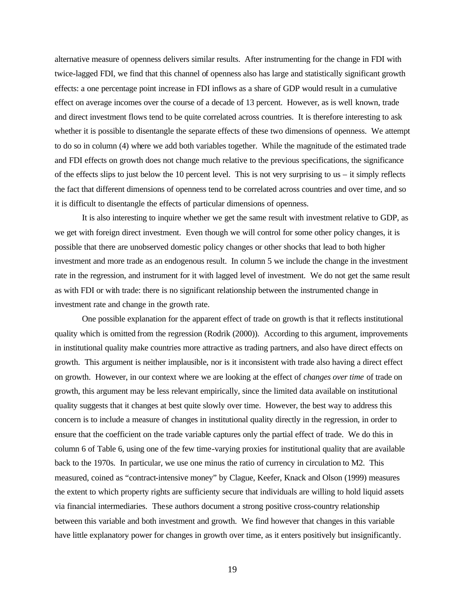alternative measure of openness delivers similar results. After instrumenting for the change in FDI with twice-lagged FDI, we find that this channel of openness also has large and statistically significant growth effects: a one percentage point increase in FDI inflows as a share of GDP would result in a cumulative effect on average incomes over the course of a decade of 13 percent. However, as is well known, trade and direct investment flows tend to be quite correlated across countries. It is therefore interesting to ask whether it is possible to disentangle the separate effects of these two dimensions of openness. We attempt to do so in column (4) where we add both variables together. While the magnitude of the estimated trade and FDI effects on growth does not change much relative to the previous specifications, the significance of the effects slips to just below the 10 percent level. This is not very surprising to us – it simply reflects the fact that different dimensions of openness tend to be correlated across countries and over time, and so it is difficult to disentangle the effects of particular dimensions of openness.

It is also interesting to inquire whether we get the same result with investment relative to GDP, as we get with foreign direct investment. Even though we will control for some other policy changes, it is possible that there are unobserved domestic policy changes or other shocks that lead to both higher investment and more trade as an endogenous result. In column 5 we include the change in the investment rate in the regression, and instrument for it with lagged level of investment. We do not get the same result as with FDI or with trade: there is no significant relationship between the instrumented change in investment rate and change in the growth rate.

One possible explanation for the apparent effect of trade on growth is that it reflects institutional quality which is omitted from the regression (Rodrik (2000)). According to this argument, improvements in institutional quality make countries more attractive as trading partners, and also have direct effects on growth. This argument is neither implausible, nor is it inconsistent with trade also having a direct effect on growth. However, in our context where we are looking at the effect of *changes over time* of trade on growth, this argument may be less relevant empirically, since the limited data available on institutional quality suggests that it changes at best quite slowly over time. However, the best way to address this concern is to include a measure of changes in institutional quality directly in the regression, in order to ensure that the coefficient on the trade variable captures only the partial effect of trade. We do this in column 6 of Table 6, using one of the few time-varying proxies for institutional quality that are available back to the 1970s. In particular, we use one minus the ratio of currency in circulation to M2. This measured, coined as "contract-intensive money" by Clague, Keefer, Knack and Olson (1999) measures the extent to which property rights are sufficienty secure that individuals are willing to hold liquid assets via financial intermediaries. These authors document a strong positive cross-country relationship between this variable and both investment and growth. We find however that changes in this variable have little explanatory power for changes in growth over time, as it enters positively but insignificantly.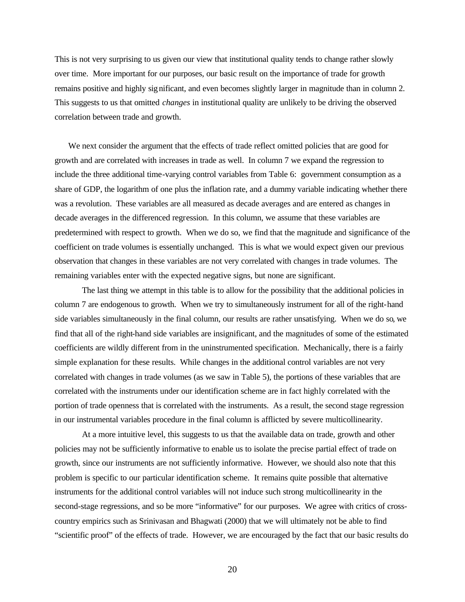This is not very surprising to us given our view that institutional quality tends to change rather slowly over time. More important for our purposes, our basic result on the importance of trade for growth remains positive and highly significant, and even becomes slightly larger in magnitude than in column 2. This suggests to us that omitted *changes* in institutional quality are unlikely to be driving the observed correlation between trade and growth.

We next consider the argument that the effects of trade reflect omitted policies that are good for growth and are correlated with increases in trade as well. In column 7 we expand the regression to include the three additional time-varying control variables from Table 6: government consumption as a share of GDP, the logarithm of one plus the inflation rate, and a dummy variable indicating whether there was a revolution. These variables are all measured as decade averages and are entered as changes in decade averages in the differenced regression. In this column, we assume that these variables are predetermined with respect to growth. When we do so, we find that the magnitude and significance of the coefficient on trade volumes is essentially unchanged. This is what we would expect given our previous observation that changes in these variables are not very correlated with changes in trade volumes. The remaining variables enter with the expected negative signs, but none are significant.

The last thing we attempt in this table is to allow for the possibility that the additional policies in column 7 are endogenous to growth. When we try to simultaneously instrument for all of the right-hand side variables simultaneously in the final column, our results are rather unsatisfying. When we do so, we find that all of the right-hand side variables are insignificant, and the magnitudes of some of the estimated coefficients are wildly different from in the uninstrumented specification. Mechanically, there is a fairly simple explanation for these results. While changes in the additional control variables are not very correlated with changes in trade volumes (as we saw in Table 5), the portions of these variables that are correlated with the instruments under our identification scheme are in fact highly correlated with the portion of trade openness that is correlated with the instruments. As a result, the second stage regression in our instrumental variables procedure in the final column is afflicted by severe multicollinearity.

At a more intuitive level, this suggests to us that the available data on trade, growth and other policies may not be sufficiently informative to enable us to isolate the precise partial effect of trade on growth, since our instruments are not sufficiently informative. However, we should also note that this problem is specific to our particular identification scheme. It remains quite possible that alternative instruments for the additional control variables will not induce such strong multicollinearity in the second-stage regressions, and so be more "informative" for our purposes. We agree with critics of crosscountry empirics such as Srinivasan and Bhagwati (2000) that we will ultimately not be able to find "scientific proof" of the effects of trade. However, we are encouraged by the fact that our basic results do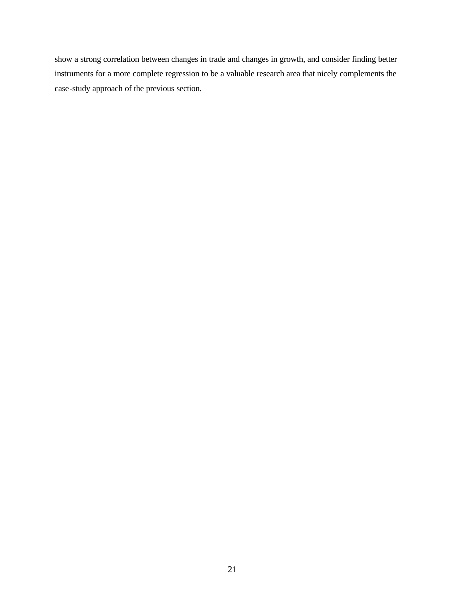show a strong correlation between changes in trade and changes in growth, and consider finding better instruments for a more complete regression to be a valuable research area that nicely complements the case-study approach of the previous section.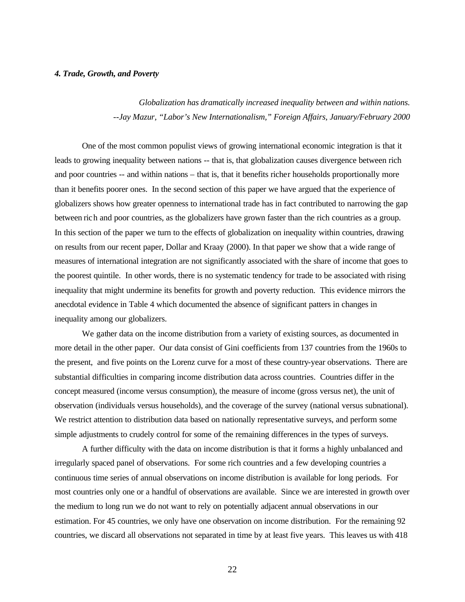#### *4. Trade, Growth, and Poverty*

*Globalization has dramatically increased inequality between and within nations. --Jay Mazur, "Labor's New Internationalism," Foreign Affairs, January/February 2000*

One of the most common populist views of growing international economic integration is that it leads to growing inequality between nations -- that is, that globalization causes divergence between rich and poor countries -- and within nations – that is, that it benefits richer households proportionally more than it benefits poorer ones. In the second section of this paper we have argued that the experience of globalizers shows how greater openness to international trade has in fact contributed to narrowing the gap between rich and poor countries, as the globalizers have grown faster than the rich countries as a group. In this section of the paper we turn to the effects of globalization on inequality within countries, drawing on results from our recent paper, Dollar and Kraay (2000). In that paper we show that a wide range of measures of international integration are not significantly associated with the share of income that goes to the poorest quintile. In other words, there is no systematic tendency for trade to be associated with rising inequality that might undermine its benefits for growth and poverty reduction. This evidence mirrors the anecdotal evidence in Table 4 which documented the absence of significant patters in changes in inequality among our globalizers.

We gather data on the income distribution from a variety of existing sources, as documented in more detail in the other paper. Our data consist of Gini coefficients from 137 countries from the 1960s to the present, and five points on the Lorenz curve for a most of these country-year observations. There are substantial difficulties in comparing income distribution data across countries. Countries differ in the concept measured (income versus consumption), the measure of income (gross versus net), the unit of observation (individuals versus households), and the coverage of the survey (national versus subnational). We restrict attention to distribution data based on nationally representative surveys, and perform some simple adjustments to crudely control for some of the remaining differences in the types of surveys.

A further difficulty with the data on income distribution is that it forms a highly unbalanced and irregularly spaced panel of observations. For some rich countries and a few developing countries a continuous time series of annual observations on income distribution is available for long periods. For most countries only one or a handful of observations are available. Since we are interested in growth over the medium to long run we do not want to rely on potentially adjacent annual observations in our estimation. For 45 countries, we only have one observation on income distribution. For the remaining 92 countries, we discard all observations not separated in time by at least five years. This leaves us with 418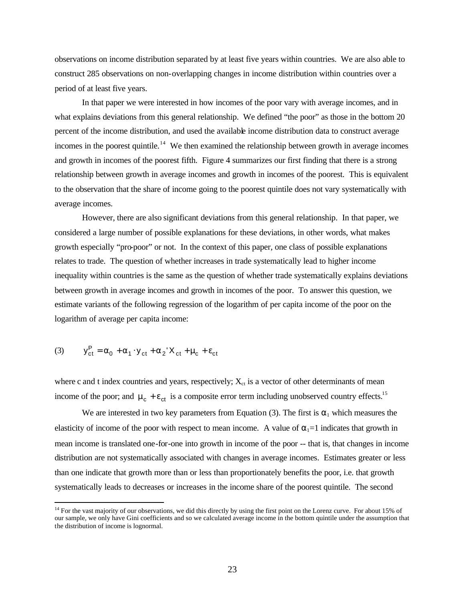observations on income distribution separated by at least five years within countries. We are also able to construct 285 observations on non-overlapping changes in income distribution within countries over a period of at least five years.

In that paper we were interested in how incomes of the poor vary with average incomes, and in what explains deviations from this general relationship. We defined "the poor" as those in the bottom 20 percent of the income distribution, and used the available income distribution data to construct average incomes in the poorest quintile.<sup>14</sup> We then examined the relationship between growth in average incomes and growth in incomes of the poorest fifth. Figure 4 summarizes our first finding that there is a strong relationship between growth in average incomes and growth in incomes of the poorest. This is equivalent to the observation that the share of income going to the poorest quintile does not vary systematically with average incomes.

However, there are also significant deviations from this general relationship. In that paper, we considered a large number of possible explanations for these deviations, in other words, what makes growth especially "pro-poor" or not. In the context of this paper, one class of possible explanations relates to trade. The question of whether increases in trade systematically lead to higher income inequality within countries is the same as the question of whether trade systematically explains deviations between growth in average incomes and growth in incomes of the poor. To answer this question, we estimate variants of the following regression of the logarithm of per capita income of the poor on the logarithm of average per capita income:

(3) 
$$
y_{ct}^{P} = \alpha_0 + \alpha_1 \cdot y_{ct} + \alpha_2' X_{ct} + \mu_c + \varepsilon_{ct}
$$

 $\overline{a}$ 

where c and t index countries and years, respectively;  $X_{ct}$  is a vector of other determinants of mean income of the poor; and  $\mu_c + \varepsilon_{ct}$  is a composite error term including unobserved country effects.<sup>15</sup>

We are interested in two key parameters from Equation (3). The first is  $\alpha_1$  which measures the elasticity of income of the poor with respect to mean income. A value of  $\alpha_1=1$  indicates that growth in mean income is translated one-for-one into growth in income of the poor -- that is, that changes in income distribution are not systematically associated with changes in average incomes. Estimates greater or less than one indicate that growth more than or less than proportionately benefits the poor, i.e. that growth systematically leads to decreases or increases in the income share of the poorest quintile. The second

<sup>&</sup>lt;sup>14</sup> For the vast majority of our observations, we did this directly by using the first point on the Lorenz curve. For about 15% of our sample, we only have Gini coefficients and so we calculated average income in the bottom quintile under the assumption that the distribution of income is lognormal.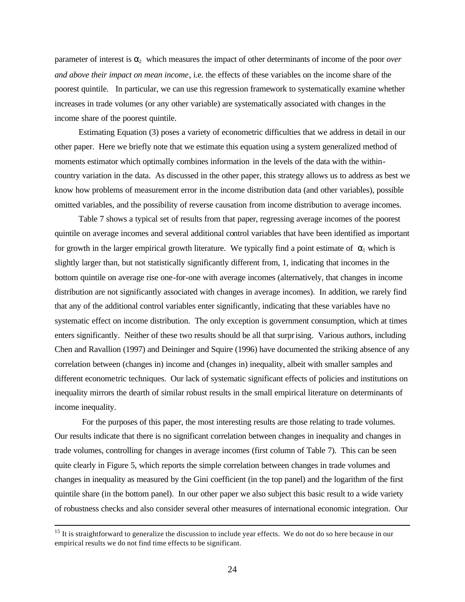parameter of interest is  $\alpha_2$  which measures the impact of other determinants of income of the poor *over and above their impact on mean income*, i.e. the effects of these variables on the income share of the poorest quintile. In particular, we can use this regression framework to systematically examine whether increases in trade volumes (or any other variable) are systematically associated with changes in the income share of the poorest quintile.

Estimating Equation (3) poses a variety of econometric difficulties that we address in detail in our other paper. Here we briefly note that we estimate this equation using a system generalized method of moments estimator which optimally combines information in the levels of the data with the withincountry variation in the data. As discussed in the other paper, this strategy allows us to address as best we know how problems of measurement error in the income distribution data (and other variables), possible omitted variables, and the possibility of reverse causation from income distribution to average incomes.

Table 7 shows a typical set of results from that paper, regressing average incomes of the poorest quintile on average incomes and several additional control variables that have been identified as important for growth in the larger empirical growth literature. We typically find a point estimate of  $\alpha_1$  which is slightly larger than, but not statistically significantly different from, 1, indicating that incomes in the bottom quintile on average rise one-for-one with average incomes (alternatively, that changes in income distribution are not significantly associated with changes in average incomes). In addition, we rarely find that any of the additional control variables enter significantly, indicating that these variables have no systematic effect on income distribution. The only exception is government consumption, which at times enters significantly. Neither of these two results should be all that surprising. Various authors, including Chen and Ravallion (1997) and Deininger and Squire (1996) have documented the striking absence of any correlation between (changes in) income and (changes in) inequality, albeit with smaller samples and different econometric techniques. Our lack of systematic significant effects of policies and institutions on inequality mirrors the dearth of similar robust results in the small empirical literature on determinants of income inequality.

For the purposes of this paper, the most interesting results are those relating to trade volumes. Our results indicate that there is no significant correlation between changes in inequality and changes in trade volumes, controlling for changes in average incomes (first column of Table 7). This can be seen quite clearly in Figure 5, which reports the simple correlation between changes in trade volumes and changes in inequality as measured by the Gini coefficient (in the top panel) and the logarithm of the first quintile share (in the bottom panel). In our other paper we also subject this basic result to a wide variety of robustness checks and also consider several other measures of international economic integration. Our

 $15$  It is straightforward to generalize the discussion to include year effects. We do not do so here because in our empirical results we do not find time effects to be significant.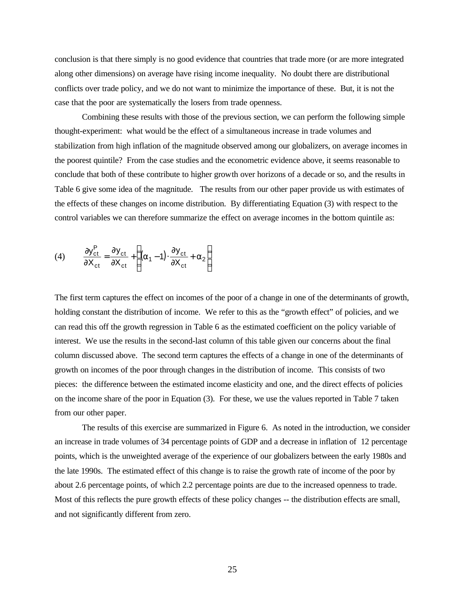conclusion is that there simply is no good evidence that countries that trade more (or are more integrated along other dimensions) on average have rising income inequality. No doubt there are distributional conflicts over trade policy, and we do not want to minimize the importance of these. But, it is not the case that the poor are systematically the losers from trade openness.

Combining these results with those of the previous section, we can perform the following simple thought-experiment: what would be the effect of a simultaneous increase in trade volumes and stabilization from high inflation of the magnitude observed among our globalizers, on average incomes in the poorest quintile? From the case studies and the econometric evidence above, it seems reasonable to conclude that both of these contribute to higher growth over horizons of a decade or so, and the results in Table 6 give some idea of the magnitude. The results from our other paper provide us with estimates of the effects of these changes on income distribution. By differentiating Equation (3) with respect to the control variables we can therefore summarize the effect on average incomes in the bottom quintile as:

(4) 
$$
\frac{\partial y_{ct}^P}{\partial X_{ct}} = \frac{\partial y_{ct}}{\partial X_{ct}} + \left( (\alpha_1 - 1) \cdot \frac{\partial y_{ct}}{\partial X_{ct}} + \alpha_2 \right)
$$

The first term captures the effect on incomes of the poor of a change in one of the determinants of growth, holding constant the distribution of income. We refer to this as the "growth effect" of policies, and we can read this off the growth regression in Table 6 as the estimated coefficient on the policy variable of interest. We use the results in the second-last column of this table given our concerns about the final column discussed above. The second term captures the effects of a change in one of the determinants of growth on incomes of the poor through changes in the distribution of income. This consists of two pieces: the difference between the estimated income elasticity and one, and the direct effects of policies on the income share of the poor in Equation (3). For these, we use the values reported in Table 7 taken from our other paper.

The results of this exercise are summarized in Figure 6. As noted in the introduction, we consider an increase in trade volumes of 34 percentage points of GDP and a decrease in inflation of 12 percentage points, which is the unweighted average of the experience of our globalizers between the early 1980s and the late 1990s. The estimated effect of this change is to raise the growth rate of income of the poor by about 2.6 percentage points, of which 2.2 percentage points are due to the increased openness to trade. Most of this reflects the pure growth effects of these policy changes -- the distribution effects are small, and not significantly different from zero.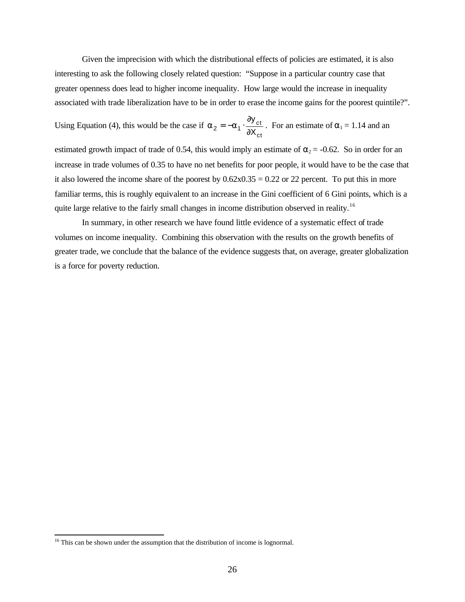Given the imprecision with which the distributional effects of policies are estimated, it is also interesting to ask the following closely related question: "Suppose in a particular country case that greater openness does lead to higher income inequality. How large would the increase in inequality associated with trade liberalization have to be in order to erase the income gains for the poorest quintile?".

Using Equation (4), this would be the case if ct  $c_2 = -\alpha_1 \cdot \frac{\partial y_{\text{ct}}}{\partial X_{\text{ct}}}$ y ∂ ∂  $\alpha_2 = -\alpha_1 \cdot \frac{\sigma_1}{2!}$ . For an estimate of  $\alpha_1 = 1.14$  and an

estimated growth impact of trade of 0.54, this would imply an estimate of  $\alpha_2 = -0.62$ . So in order for an increase in trade volumes of 0.35 to have no net benefits for poor people, it would have to be the case that it also lowered the income share of the poorest by  $0.62x0.35 = 0.22$  or 22 percent. To put this in more familiar terms, this is roughly equivalent to an increase in the Gini coefficient of 6 Gini points, which is a quite large relative to the fairly small changes in income distribution observed in reality.<sup>16</sup>

In summary, in other research we have found little evidence of a systematic effect of trade volumes on income inequality. Combining this observation with the results on the growth benefits of greater trade, we conclude that the balance of the evidence suggests that, on average, greater globalization is a force for poverty reduction.

<sup>&</sup>lt;sup>16</sup> This can be shown under the assumption that the distribution of income is lognormal.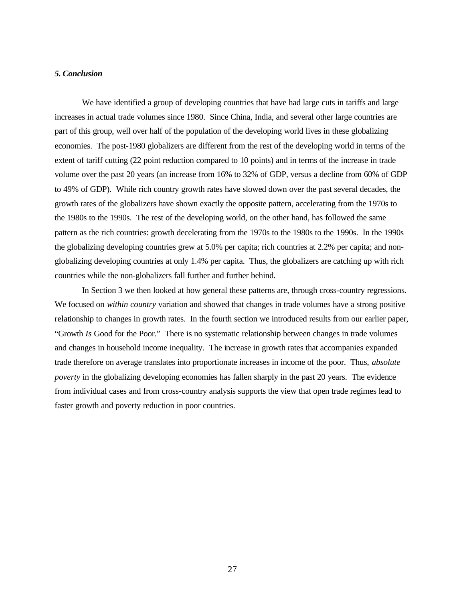### *5. Conclusion*

We have identified a group of developing countries that have had large cuts in tariffs and large increases in actual trade volumes since 1980. Since China, India, and several other large countries are part of this group, well over half of the population of the developing world lives in these globalizing economies. The post-1980 globalizers are different from the rest of the developing world in terms of the extent of tariff cutting (22 point reduction compared to 10 points) and in terms of the increase in trade volume over the past 20 years (an increase from 16% to 32% of GDP, versus a decline from 60% of GDP to 49% of GDP). While rich country growth rates have slowed down over the past several decades, the growth rates of the globalizers have shown exactly the opposite pattern, accelerating from the 1970s to the 1980s to the 1990s. The rest of the developing world, on the other hand, has followed the same pattern as the rich countries: growth decelerating from the 1970s to the 1980s to the 1990s. In the 1990s the globalizing developing countries grew at 5.0% per capita; rich countries at 2.2% per capita; and nonglobalizing developing countries at only 1.4% per capita. Thus, the globalizers are catching up with rich countries while the non-globalizers fall further and further behind.

In Section 3 we then looked at how general these patterns are, through cross-country regressions. We focused on *within country* variation and showed that changes in trade volumes have a strong positive relationship to changes in growth rates. In the fourth section we introduced results from our earlier paper, "Growth *Is* Good for the Poor." There is no systematic relationship between changes in trade volumes and changes in household income inequality. The increase in growth rates that accompanies expanded trade therefore on average translates into proportionate increases in income of the poor. Thus, *absolute poverty* in the globalizing developing economies has fallen sharply in the past 20 years. The evidence from individual cases and from cross-country analysis supports the view that open trade regimes lead to faster growth and poverty reduction in poor countries.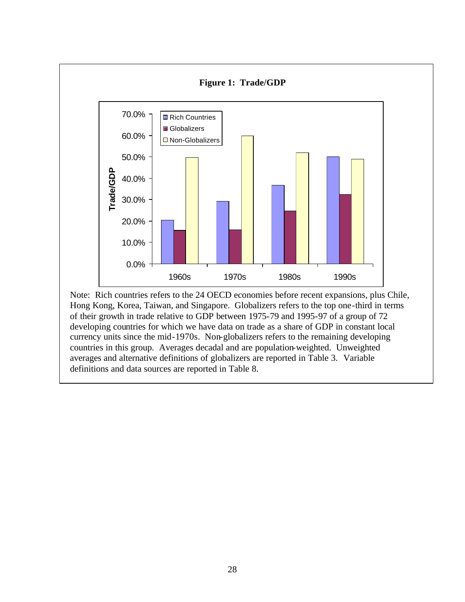

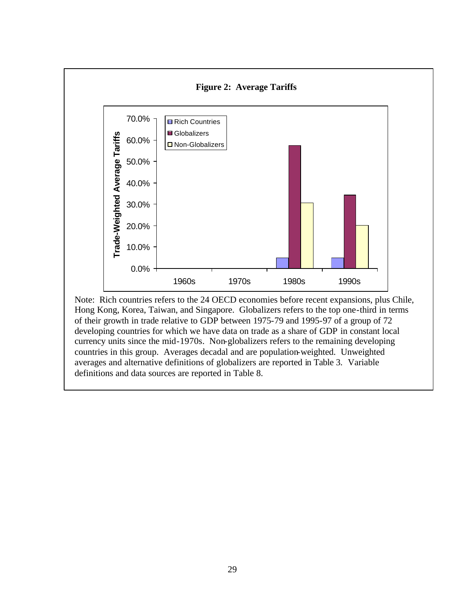

of their growth in trade relative to GDP between 1975-79 and 1995-97 of a group of 72 developing countries for which we have data on trade as a share of GDP in constant local currency units since the mid-1970s. Non-globalizers refers to the remaining developing countries in this group. Averages decadal and are population-weighted. Unweighted averages and alternative definitions of globalizers are reported in Table 3. Variable definitions and data sources are reported in Table 8.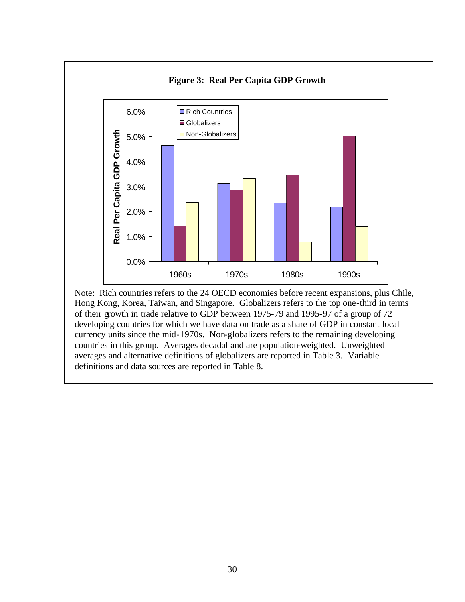

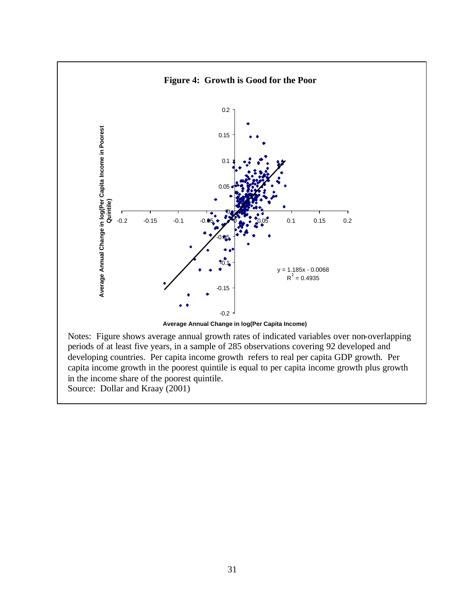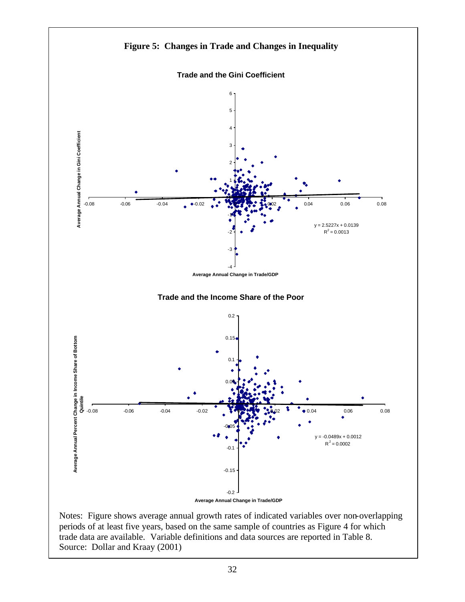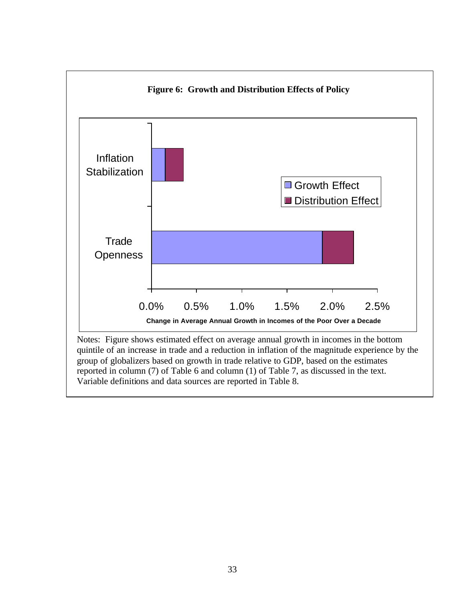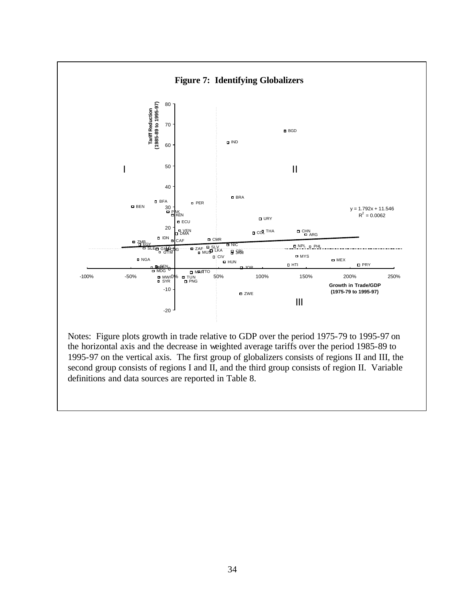

Notes: Figure plots growth in trade relative to GDP over the period 1975-79 to 1995-97 on the horizontal axis and the decrease in weighted average tariffs over the period 1985-89 to 1995-97 on the vertical axis. The first group of globalizers consists of regions II and III, the second group consists of regions I and II, and the third group consists of region II. Variable definitions and data sources are reported in Table 8.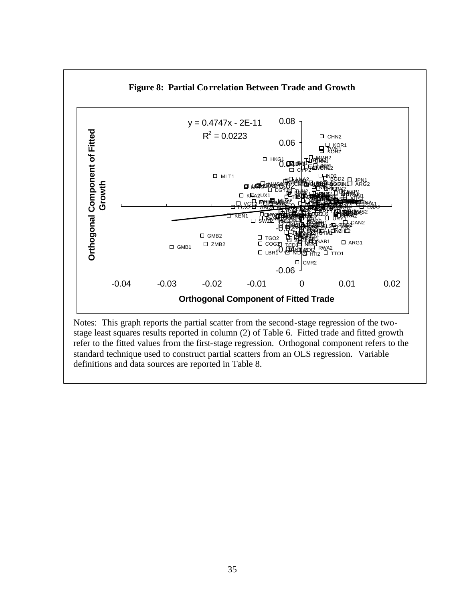

refer to the fitted values from the first-stage regression. Orthogonal component refers to the standard technique used to construct partial scatters from an OLS regression. Variable definitions and data sources are reported in Table 8.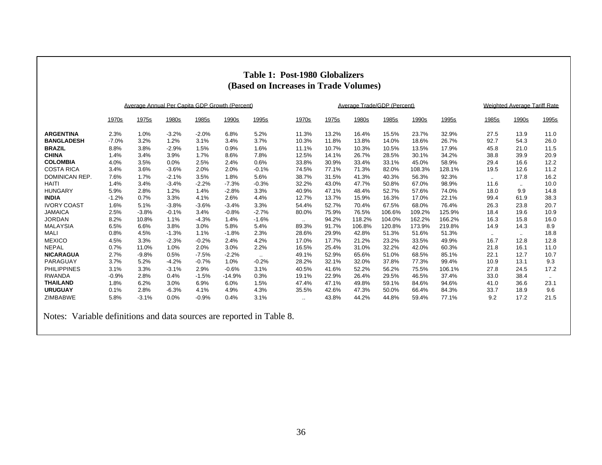|                       |         |         |         |         |                                                |         | $\frac{1}{2}$ and $\frac{1}{2}$ and $\frac{1}{2}$ and $\frac{1}{2}$ |       |                             |        |        |        |         |                              |              |
|-----------------------|---------|---------|---------|---------|------------------------------------------------|---------|---------------------------------------------------------------------|-------|-----------------------------|--------|--------|--------|---------|------------------------------|--------------|
|                       |         |         |         |         | Average Annual Per Capita GDP Growth (Percent) |         |                                                                     |       | Average Trade/GDP (Percent) |        |        |        |         | Weighted Average Tariff Rate |              |
|                       | 1970s   | 1975s   | 1980s   | 1985s   | 1990s                                          | 1995s   | 1970s                                                               | 1975s | 1980s                       | 1985s  | 1990s  | 1995s  | 1985s   | 1990s                        | 1995s        |
| <b>ARGENTINA</b>      | 2.3%    | 1.0%    | $-3.2%$ | $-2.0%$ | 6.8%                                           | 5.2%    | 11.3%                                                               | 13.2% | 16.4%                       | 15.5%  | 23.7%  | 32.9%  | 27.5    | 13.9                         | 11.0         |
| <b>BANGLADESH</b>     | $-7.0%$ | 3.2%    | 1.2%    | 3.1%    | 3.4%                                           | 3.7%    | 10.3%                                                               | 11.8% | 13.8%                       | 14.0%  | 18.6%  | 26.7%  | 92.7    | 54.3                         | 26.0         |
| <b>BRAZIL</b>         | 8.8%    | 3.8%    | $-2.9%$ | 1.5%    | 0.9%                                           | 1.6%    | 11.1%                                                               | 10.7% | 10.3%                       | 10.5%  | 13.5%  | 17.9%  | 45.8    | 21.0                         | 11.5         |
| <b>CHINA</b>          | 1.4%    | 3.4%    | 3.9%    | 1.7%    | 8.6%                                           | 7.8%    | 12.5%                                                               | 14.1% | 26.7%                       | 28.5%  | 30.1%  | 34.2%  | 38.8    | 39.9                         | 20.9         |
| <b>COLOMBIA</b>       | 4.0%    | 3.5%    | 0.0%    | 2.5%    | 2.4%                                           | 0.6%    | 33.8%                                                               | 30.9% | 33.4%                       | 33.1%  | 45.0%  | 58.9%  | 29.4    | 16.6                         | 12.2         |
| <b>COSTA RICA</b>     | 3.4%    | 3.6%    | $-3.6%$ | 2.0%    | 2.0%                                           | $-0.1%$ | 74.5%                                                               | 77.1% | 71.3%                       | 82.0%  | 108.3% | 128.1% | 19.5    | 12.6                         | 11.2         |
| <b>DOMINICAN REP.</b> | 7.6%    | 1.7%    | $-2.1%$ | 3.5%    | 1.8%                                           | 5.6%    | 38.7%                                                               | 31.5% | 41.3%                       | 40.3%  | 56.3%  | 92.3%  | $\cdot$ | 17.8                         | 16.2         |
| <b>HAITI</b>          | 1.4%    | 3.4%    | $-3.4%$ | $-2.2%$ | $-7.3%$                                        | $-0.3%$ | 32.2%                                                               | 43.0% | 47.7%                       | 50.8%  | 67.0%  | 98.9%  | 11.6    |                              | 10.0         |
| <b>HUNGARY</b>        | 5.9%    | 2.8%    | 1.2%    | 1.4%    | $-2.8%$                                        | 3.3%    | 40.9%                                                               | 47.1% | 48.4%                       | 52.7%  | 57.6%  | 74.0%  | 18.0    | 9.9                          | 14.8         |
| <b>INDIA</b>          | $-1.2%$ | 0.7%    | 3.3%    | 4.1%    | 2.6%                                           | 4.4%    | 12.7%                                                               | 13.7% | 15.9%                       | 16.3%  | 17.0%  | 22.1%  | 99.4    | 61.9                         | 38.3         |
| <b>IVORY COAST</b>    | 1.6%    | 5.1%    | $-3.8%$ | $-3.6%$ | $-3.4%$                                        | 3.3%    | 54.4%                                                               | 52.7% | 70.4%                       | 67.5%  | 68.0%  | 76.4%  | 26.3    | 23.8                         | 20.7         |
| <b>JAMAICA</b>        | 2.5%    | $-3.8%$ | $-0.1%$ | 3.4%    | $-0.8%$                                        | $-2.7%$ | 80.0%                                                               | 75.9% | 76.5%                       | 106.6% | 109.2% | 125.9% | 18.4    | 19.6                         | 10.9         |
| <b>JORDAN</b>         | 8.2%    | 10.8%   | 1.1%    | $-4.3%$ | 1.4%                                           | $-1.6%$ | $\sim$                                                              | 94.2% | 118.2%                      | 104.0% | 162.2% | 166.2% | 16.3    | 15.8                         | 16.0         |
| <b>MALAYSIA</b>       | 6.5%    | 6.6%    | 3.8%    | 3.0%    | 5.8%                                           | 5.4%    | 89.3%                                                               | 91.7% | 106.8%                      | 120.8% | 173.9% | 219.8% | 14.9    | 14.3                         | 8.9          |
| <b>MALI</b>           | 0.8%    | 4.5%    | $-1.3%$ | 1.1%    | $-1.8%$                                        | 2.3%    | 28.6%                                                               | 29.9% | 42.8%                       | 51.3%  | 51.6%  | 51.3%  | $\sim$  |                              | 18.8         |
| <b>MEXICO</b>         | 4.5%    | 3.3%    | $-2.3%$ | $-0.2%$ | 2.4%                                           | 4.2%    | 17.0%                                                               | 17.7% | 21.2%                       | 23.2%  | 33.5%  | 49.9%  | 16.7    | 12.8                         | 12.8         |
| <b>NEPAL</b>          | 0.7%    | 11.0%   | 1.0%    | 2.0%    | 3.0%                                           | 2.2%    | 16.5%                                                               | 25.4% | 31.0%                       | 32.2%  | 42.0%  | 60.3%  | 21.8    | 16.1                         | 11.0         |
| <b>NICARAGUA</b>      | 2.7%    | $-9.8%$ | 0.5%    | $-7.5%$ | $-2.2%$                                        | $\sim$  | 49.1%                                                               | 52.9% | 65.6%                       | 51.0%  | 68.5%  | 85.1%  | 22.1    | 12.7                         | 10.7         |
| PARAGUAY              | 3.7%    | 5.2%    | $-4.2%$ | $-0.7%$ | 1.0%                                           | $-0.2%$ | 28.2%                                                               | 32.1% | 32.0%                       | 37.8%  | 77.3%  | 99.4%  | 10.9    | 13.1                         | 9.3          |
| <b>PHILIPPINES</b>    | 3.1%    | 3.3%    | $-3.1%$ | 2.9%    | $-0.6%$                                        | 3.1%    | 40.5%                                                               | 41.6% | 52.2%                       | 56.2%  | 75.5%  | 106.1% | 27.8    | 24.5                         | 17.2         |
| <b>RWANDA</b>         | $-0.9%$ | 2.8%    | 0.4%    | $-1.5%$ | $-14.9%$                                       | 0.3%    | 19.1%                                                               | 22.9% | 26.4%                       | 29.5%  | 46.5%  | 37.4%  | 33.0    | 38.4                         | $\cdot\cdot$ |
| <b>THAILAND</b>       | 1.8%    | 6.2%    | 3.0%    | 6.9%    | 6.0%                                           | 1.5%    | 47.4%                                                               | 47.1% | 49.8%                       | 59.1%  | 84.6%  | 94.6%  | 41.0    | 36.6                         | 23.1         |
| <b>URUGUAY</b>        | 0.1%    | 2.8%    | $-6.3%$ | 4.1%    | 4.9%                                           | 4.3%    | 35.5%                                                               | 42.6% | 47.3%                       | 50.0%  | 66.4%  | 84.3%  | 33.7    | 18.9                         | 9.6          |
| <b>ZIMBABWE</b>       | 5.8%    | $-3.1%$ | 0.0%    | $-0.9%$ | 0.4%                                           | 3.1%    | $\ddotsc$                                                           | 43.8% | 44.2%                       | 44.8%  | 59.4%  | 77.1%  | 9.2     | 17.2                         | 21.5         |

**Table 1: Post-1980 Globalizers (Based on Increases in Trade Volumes)**

Notes: Variable definitions and data sources are reported in Table 8.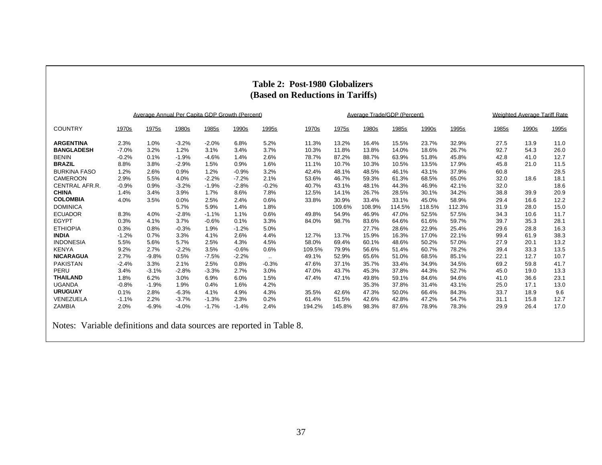|                       |         |         |                                                |         |         |          | (daseu on reguctions in Tafnis) |        |        |                             |        |        |       |                                     |       |
|-----------------------|---------|---------|------------------------------------------------|---------|---------|----------|---------------------------------|--------|--------|-----------------------------|--------|--------|-------|-------------------------------------|-------|
|                       |         |         | Average Annual Per Capita GDP Growth (Percent) |         |         |          |                                 |        |        | Average Trade/GDP (Percent) |        |        |       | <b>Weighted Average Tariff Rate</b> |       |
| <b>COUNTRY</b>        | 1970s   | 1975s   | 1980s                                          | 1985s   | 1990s   | 1995s    | 1970s                           | 1975s  | 1980s  | 1985s                       | 1990s  | 1995s  | 1985s | 1990s                               | 1995s |
| <b>ARGENTINA</b>      | 2.3%    | 1.0%    | $-3.2%$                                        | $-2.0%$ | 6.8%    | 5.2%     | 11.3%                           | 13.2%  | 16.4%  | 15.5%                       | 23.7%  | 32.9%  | 27.5  | 13.9                                | 11.0  |
| <b>BANGLADESH</b>     | $-7.0%$ | 3.2%    | 1.2%                                           | 3.1%    | 3.4%    | 3.7%     | 10.3%                           | 11.8%  | 13.8%  | 14.0%                       | 18.6%  | 26.7%  | 92.7  | 54.3                                | 26.0  |
| <b>BENIN</b>          | $-0.2%$ | 0.1%    | $-1.9%$                                        | $-4.6%$ | 1.4%    | 2.6%     | 78.7%                           | 87.2%  | 88.7%  | 63.9%                       | 51.8%  | 45.8%  | 42.8  | 41.0                                | 12.7  |
| <b>BRAZIL</b>         | 8.8%    | 3.8%    | $-2.9%$                                        | 1.5%    | 0.9%    | 1.6%     | 11.1%                           | 10.7%  | 10.3%  | 10.5%                       | 13.5%  | 17.9%  | 45.8  | 21.0                                | 11.5  |
| <b>BURKINA FASO</b>   | 1.2%    | 2.6%    | 0.9%                                           | 1.2%    | $-0.9%$ | 3.2%     | 42.4%                           | 48.1%  | 48.5%  | 46.1%                       | 43.1%  | 37.9%  | 60.8  |                                     | 28.5  |
| <b>CAMEROON</b>       | 2.9%    | 5.5%    | 4.0%                                           | $-2.2%$ | $-7.2%$ | 2.1%     | 53.6%                           | 46.7%  | 59.3%  | 61.3%                       | 68.5%  | 65.0%  | 32.0  | 18.6                                | 18.1  |
| <b>CENTRAL AFR.R.</b> | $-0.9%$ | 0.9%    | $-3.2%$                                        | $-1.9%$ | $-2.8%$ | $-0.2%$  | 40.7%                           | 43.1%  | 48.1%  | 44.3%                       | 46.9%  | 42.1%  | 32.0  |                                     | 18.6  |
| <b>CHINA</b>          | 1.4%    | 3.4%    | 3.9%                                           | 1.7%    | 8.6%    | 7.8%     | 12.5%                           | 14.1%  | 26.7%  | 28.5%                       | 30.1%  | 34.2%  | 38.8  | 39.9                                | 20.9  |
| <b>COLOMBIA</b>       | 4.0%    | 3.5%    | 0.0%                                           | 2.5%    | 2.4%    | 0.6%     | 33.8%                           | 30.9%  | 33.4%  | 33.1%                       | 45.0%  | 58.9%  | 29.4  | 16.6                                | 12.2  |
| <b>DOMINICA</b>       |         |         | 5.7%                                           | 5.9%    | 1.4%    | 1.8%     |                                 | 109.6% | 108.9% | 114.5%                      | 118.5% | 112.3% | 31.9  | 28.0                                | 15.0  |
| <b>ECUADOR</b>        | 8.3%    | 4.0%    | $-2.8%$                                        | $-1.1%$ | 1.1%    | 0.6%     | 49.8%                           | 54.9%  | 46.9%  | 47.0%                       | 52.5%  | 57.5%  | 34.3  | 10.6                                | 11.7  |
| <b>EGYPT</b>          | 0.3%    | 4.1%    | 3.7%                                           | $-0.6%$ | 0.1%    | 3.3%     | 84.0%                           | 98.7%  | 83.6%  | 64.6%                       | 61.6%  | 59.7%  | 39.7  | 35.3                                | 28.1  |
| <b>ETHIOPIA</b>       | 0.3%    | 0.8%    | $-0.3%$                                        | 1.9%    | $-1.2%$ | 5.0%     |                                 |        | 27.7%  | 28.6%                       | 22.9%  | 25.4%  | 29.6  | 28.8                                | 16.3  |
| <b>INDIA</b>          | $-1.2%$ | 0.7%    | 3.3%                                           | 4.1%    | 2.6%    | 4.4%     | 12.7%                           | 13.7%  | 15.9%  | 16.3%                       | 17.0%  | 22.1%  | 99.4  | 61.9                                | 38.3  |
| <b>INDONESIA</b>      | 5.5%    | 5.6%    | 5.7%                                           | 2.5%    | 4.3%    | 4.5%     | 58.0%                           | 69.4%  | 60.1%  | 48.6%                       | 50.2%  | 57.0%  | 27.9  | 20.1                                | 13.2  |
| <b>KENYA</b>          | 9.2%    | 2.7%    | $-2.2%$                                        | 3.5%    | $-0.6%$ | 0.6%     | 109.5%                          | 79.9%  | 56.6%  | 51.4%                       | 60.7%  | 78.2%  | 39.4  | 33.3                                | 13.5  |
| <b>NICARAGUA</b>      | 2.7%    | $-9.8%$ | 0.5%                                           | $-7.5%$ | $-2.2%$ | $\ldots$ | 49.1%                           | 52.9%  | 65.6%  | 51.0%                       | 68.5%  | 85.1%  | 22.1  | 12.7                                | 10.7  |
| <b>PAKISTAN</b>       | $-2.4%$ | 3.3%    | 2.1%                                           | 2.5%    | 0.8%    | $-0.3%$  | 47.6%                           | 37.1%  | 35.7%  | 33.4%                       | 34.9%  | 34.5%  | 69.2  | 59.8                                | 41.7  |
| PERU                  | 3.4%    | $-3.1%$ | $-2.8%$                                        | $-3.3%$ | 2.7%    | 3.0%     | 47.0%                           | 43.7%  | 45.3%  | 37.8%                       | 44.3%  | 52.7%  | 45.0  | 19.0                                | 13.3  |
| <b>THAILAND</b>       | 1.8%    | 6.2%    | 3.0%                                           | 6.9%    | 6.0%    | 1.5%     | 47.4%                           | 47.1%  | 49.8%  | 59.1%                       | 84.6%  | 94.6%  | 41.0  | 36.6                                | 23.1  |
| <b>UGANDA</b>         | $-0.8%$ | $-1.9%$ | 1.9%                                           | 0.4%    | 1.6%    | 4.2%     |                                 |        | 35.3%  | 37.8%                       | 31.4%  | 43.1%  | 25.0  | 17.1                                | 13.0  |
| <b>URUGUAY</b>        | 0.1%    | 2.8%    | $-6.3%$                                        | 4.1%    | 4.9%    | 4.3%     | 35.5%                           | 42.6%  | 47.3%  | 50.0%                       | 66.4%  | 84.3%  | 33.7  | 18.9                                | 9.6   |
| <b>VENEZUELA</b>      | $-1.1%$ | 2.2%    | $-3.7%$                                        | $-1.3%$ | 2.3%    | 0.2%     | 61.4%                           | 51.5%  | 42.6%  | 42.8%                       | 47.2%  | 54.7%  | 31.1  | 15.8                                | 12.7  |
| <b>ZAMBIA</b>         | 2.0%    | $-6.9%$ | $-4.0%$                                        | $-1.7%$ | $-1.4%$ | 2.4%     | 194.2%                          | 145.8% | 98.3%  | 87.6%                       | 78.9%  | 78.3%  | 29.9  | 26.4                                | 17.0  |

# **Table 2: Post-1980 Globalizers (Based on Reductions in Tariffs)**

Notes: Variable definitions and data sources are reported in Table 8.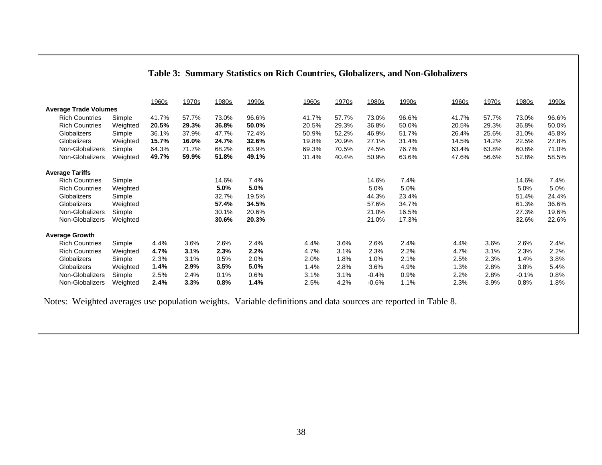|                              |          | 1960s | 1970s | 1980s   | 1990s | 1960s | 1970s | 1980s   | 1990s | 1960s | 1970s | 1980s   | 1990s |
|------------------------------|----------|-------|-------|---------|-------|-------|-------|---------|-------|-------|-------|---------|-------|
| <b>Average Trade Volumes</b> |          |       |       |         |       |       |       |         |       |       |       |         |       |
| <b>Rich Countries</b>        | Simple   | 41.7% | 57.7% | 73.0%   | 96.6% | 41.7% | 57.7% | 73.0%   | 96.6% | 41.7% | 57.7% | 73.0%   | 96.6% |
| <b>Rich Countries</b>        | Weighted | 20.5% | 29.3% | 36.8%   | 50.0% | 20.5% | 29.3% | 36.8%   | 50.0% | 20.5% | 29.3% | 36.8%   | 50.0% |
| Globalizers                  | Simple   | 36.1% | 37.9% | 47.7%   | 72.4% | 50.9% | 52.2% | 46.9%   | 51.7% | 26.4% | 25.6% | 31.0%   | 45.8% |
| Globalizers                  | Weighted | 15.7% | 16.0% | 24.7%   | 32.6% | 19.8% | 20.9% | 27.1%   | 31.4% | 14.5% | 14.2% | 22.5%   | 27.8% |
| Non-Globalizers              | Simple   | 64.3% | 71.7% | 68.2%   | 63.9% | 69.3% | 70.5% | 74.5%   | 76.7% | 63.4% | 63.8% | 60.8%   | 71.0% |
| Non-Globalizers              | Weighted | 49.7% | 59.9% | 51.8%   | 49.1% | 31.4% | 40.4% | 50.9%   | 63.6% | 47.6% | 56.6% | 52.8%   | 58.5% |
| <b>Average Tariffs</b>       |          |       |       |         |       |       |       |         |       |       |       |         |       |
| <b>Rich Countries</b>        | Simple   |       |       | 14.6%   | 7.4%  |       |       | 14.6%   | 7.4%  |       |       | 14.6%   | 7.4%  |
| <b>Rich Countries</b>        | Weighted |       |       | 5.0%    | 5.0%  |       |       | 5.0%    | 5.0%  |       |       | 5.0%    | 5.0%  |
| Globalizers                  | Simple   |       |       | 32.7%   | 19.5% |       |       | 44.3%   | 23.4% |       |       | 51.4%   | 24.4% |
| Globalizers                  | Weighted |       |       | 57.4%   | 34.5% |       |       | 57.6%   | 34.7% |       |       | 61.3%   | 36.6% |
| Non-Globalizers              | Simple   |       |       | 30.1%   | 20.6% |       |       | 21.0%   | 16.5% |       |       | 27.3%   | 19.6% |
| Non-Globalizers              | Weighted |       |       | 30.6%   | 20.3% |       |       | 21.0%   | 17.3% |       |       | 32.6%   | 22.6% |
| <b>Average Growth</b>        |          |       |       |         |       |       |       |         |       |       |       |         |       |
| <b>Rich Countries</b>        | Simple   | 4.4%  | 3.6%  | 2.6%    | 2.4%  | 4.4%  | 3.6%  | 2.6%    | 2.4%  | 4.4%  | 3.6%  | 2.6%    | 2.4%  |
| <b>Rich Countries</b>        | Weighted | 4.7%  | 3.1%  | 2.3%    | 2.2%  | 4.7%  | 3.1%  | 2.3%    | 2.2%  | 4.7%  | 3.1%  | 2.3%    | 2.2%  |
| Globalizers                  | Simple   | 2.3%  | 3.1%  | 0.5%    | 2.0%  | 2.0%  | 1.8%  | 1.0%    | 2.1%  | 2.5%  | 2.3%  | 1.4%    | 3.8%  |
| Globalizers                  | Weighted | 1.4%  | 2.9%  | 3.5%    | 5.0%  | 1.4%  | 2.8%  | 3.6%    | 4.9%  | 1.3%  | 2.8%  | 3.8%    | 5.4%  |
| Non-Globalizers              | Simple   | 2.5%  | 2.4%  | 0.1%    | 0.6%  | 3.1%  | 3.1%  | $-0.4%$ | 0.9%  | 2.2%  | 2.8%  | $-0.1%$ | 0.8%  |
| Non-Globalizers              | Weighted | 2.4%  | 3.3%  | $0.8\%$ | 1.4%  | 2.5%  | 4.2%  | $-0.6%$ | 1.1%  | 2.3%  | 3.9%  | 0.8%    | 1.8%  |

# **Table 3: Summary Statistics on Rich Countries, Globalizers, and Non-Globalizers**

Notes: Weighted averages use population weights. Variable definitions and data sources are reported in Table 8.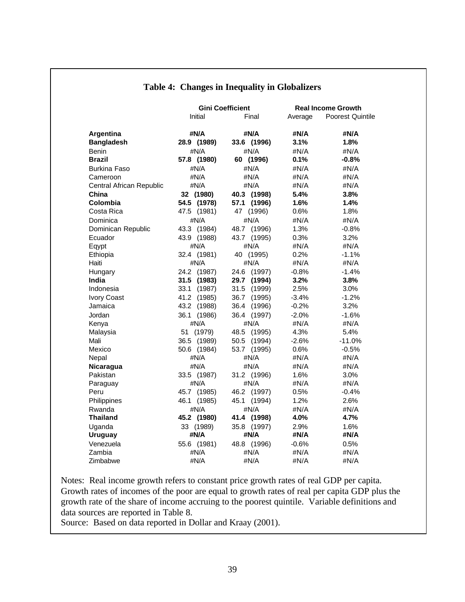|                          |             | <b>Gini Coefficient</b> |         | <b>Real Income Growth</b> |
|--------------------------|-------------|-------------------------|---------|---------------------------|
|                          | Initial     | Final                   | Average | Poorest Quintile          |
| Argentina                | #N/A        | #N/A                    | #N/A    | #N/A                      |
| <b>Bangladesh</b>        | 28.9 (1989) | 33.6 (1996)             | 3.1%    | 1.8%                      |
| Benin                    | #N/A        | #N/A                    | #N/A    | #N/A                      |
| <b>Brazil</b>            | 57.8 (1980) | 60 (1996)               | 0.1%    | $-0.8%$                   |
| <b>Burkina Faso</b>      | #N/A        | #N/A                    | #N/A    | #N/A                      |
| Cameroon                 | #N/A        | #N/A                    | #N/A    | #N/A                      |
| Central African Republic | #N/A        | #N/A                    | #N/A    | #N/A                      |
| China                    | 32 (1980)   | 40.3 (1998)             | 5.4%    | 3.8%                      |
| Colombia                 | 54.5 (1978) | 57.1 (1996)             | 1.6%    | 1.4%                      |
| Costa Rica               | 47.5 (1981) | 47 (1996)               | 0.6%    | 1.8%                      |
| Dominica                 | #N/A        | #N/A                    | #N/A    | #N/A                      |
| Dominican Republic       | 43.3 (1984) | 48.7 (1996)             | 1.3%    | $-0.8%$                   |
| Ecuador                  | 43.9 (1988) | 43.7 (1995)             | 0.3%    | 3.2%                      |
| Eqypt                    | #N/A        | #N/A                    | #N/A    | #N/A                      |
| Ethiopia                 | 32.4 (1981) | 40 (1995)               | 0.2%    | $-1.1%$                   |
| Haiti                    | #N/A        | #N/A                    | #N/A    | #N/A                      |
| Hungary                  | 24.2 (1987) | 24.6 (1997)             | $-0.8%$ | $-1.4%$                   |
| India                    | 31.5 (1983) | 29.7 (1994)             | 3.2%    | 3.8%                      |
| Indonesia                | 33.1 (1987) | 31.5 (1999)             | 2.5%    | 3.0%                      |
| <b>Ivory Coast</b>       | 41.2 (1985) | 36.7 (1995)             | $-3.4%$ | $-1.2%$                   |
| Jamaica                  | 43.2 (1988) | 36.4 (1996)             | $-0.2%$ | 3.2%                      |
| Jordan                   | 36.1 (1986) | 36.4 (1997)             | $-2.0%$ | $-1.6%$                   |
| Kenya                    | #N/A        | #N/A                    | #N/A    | #N/A                      |
| Malaysia                 | 51 (1979)   | 48.5 (1995)             | 4.3%    | 5.4%                      |
| Mali                     | 36.5 (1989) | 50.5 (1994)             | $-2.6%$ | -11.0%                    |
| Mexico                   | 50.6 (1984) | 53.7 (1995)             | 0.6%    | $-0.5%$                   |
| Nepal                    | #N/A        | #N/A                    | #N/A    | #N/A                      |
| Nicaragua                | #N/A        | #N/A                    | #N/A    | #N/A                      |
| Pakistan                 | 33.5 (1987) | 31.2 (1996)             | 1.6%    | 3.0%                      |
| Paraguay                 | #N/A        | #N/A                    | #N/A    | #N/A                      |
| Peru                     | 45.7 (1985) | 46.2 (1997)             | 0.5%    | $-0.4%$                   |
| Philippines              | 46.1 (1985) | 45.1 (1994)             | 1.2%    | 2.6%                      |
| Rwanda                   | #N/A        | #N/A                    | #N/A    | #N/A                      |
| <b>Thailand</b>          | 45.2 (1980) | 41.4 (1998)             | 4.0%    | 4.7%                      |
| Uganda                   | 33 (1989)   | 35.8 (1997)             | 2.9%    | 1.6%                      |
| <b>Uruguay</b>           | #N/A        | #N/A                    | #N/A    | #N/A                      |
| Venezuela                | 55.6 (1981) | 48.8 (1996)             | -0.6%   | 0.5%                      |
| Zambia                   | #N/A        | #N/A                    | #N/A    | #N/A                      |
| Zimbabwe                 | #N/A        | #N/A                    | #N/A    | #N/A                      |

# **Table 4: Changes in Inequality in Globalizers**

Notes: Real income growth refers to constant price growth rates of real GDP per capita. Growth rates of incomes of the poor are equal to growth rates of real per capita GDP plus the growth rate of the share of income accruing to the poorest quintile. Variable definitions and data sources are reported in Table 8.

Source: Based on data reported in Dollar and Kraay (2001).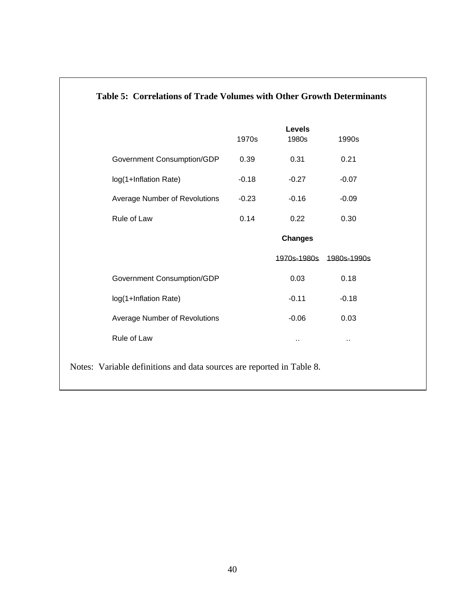|                               |         | <b>Levels</b>  |             |
|-------------------------------|---------|----------------|-------------|
|                               | 1970s   | 1980s          | 1990s       |
| Government Consumption/GDP    | 0.39    | 0.31           | 0.21        |
| log(1+Inflation Rate)         | $-0.18$ | $-0.27$        | $-0.07$     |
| Average Number of Revolutions | $-0.23$ | $-0.16$        | $-0.09$     |
| Rule of Law                   | 0.14    | 0.22           | 0.30        |
|                               |         | <b>Changes</b> |             |
|                               |         | 1970s-1980s    | 1980s-1990s |
| Government Consumption/GDP    |         | 0.03           | 0.18        |
| log(1+Inflation Rate)         |         | $-0.11$        | $-0.18$     |
| Average Number of Revolutions |         | $-0.06$        | 0.03        |
| Rule of Law                   |         | ٠.             |             |

# **Table 5: Correlations of Trade Volumes with Other Growth Determinants**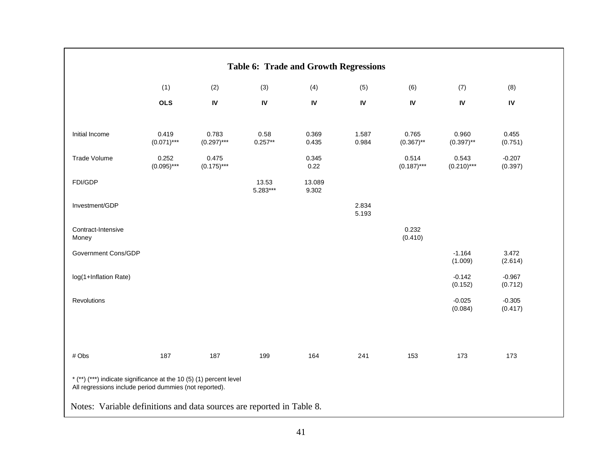|                                                                                                                              |                        |                        |                   | <b>Table 6: Trade and Growth Regressions</b> |                |                        |                        |                     |
|------------------------------------------------------------------------------------------------------------------------------|------------------------|------------------------|-------------------|----------------------------------------------|----------------|------------------------|------------------------|---------------------|
|                                                                                                                              | (1)                    | (2)                    | (3)               | (4)                                          | (5)            | (6)                    | (7)                    | (8)                 |
|                                                                                                                              | <b>OLS</b>             | ${\sf IV}$             | ${\sf IV}$        | IV                                           | ${\sf IV}$     | ${\sf IV}$             | ${\sf IV}$             | ${\sf IV}$          |
|                                                                                                                              |                        |                        |                   |                                              |                |                        |                        |                     |
| Initial Income                                                                                                               | 0.419<br>$(0.071)$ *** | 0.783<br>$(0.297)$ *** | 0.58<br>$0.257**$ | 0.369<br>0.435                               | 1.587<br>0.984 | 0.765<br>$(0.367)$ **  | 0.960<br>$(0.397)$ **  | 0.455<br>(0.751)    |
| Trade Volume                                                                                                                 | 0.252<br>$(0.095)$ *** | 0.475<br>$(0.175)$ *** |                   | 0.345<br>0.22                                |                | 0.514<br>$(0.187)$ *** | 0.543<br>$(0.210)$ *** | $-0.207$<br>(0.397) |
| FDI/GDP                                                                                                                      |                        |                        | 13.53<br>5.283*** | 13.089<br>9.302                              |                |                        |                        |                     |
| Investment/GDP                                                                                                               |                        |                        |                   |                                              | 2.834<br>5.193 |                        |                        |                     |
| Contract-Intensive<br>Money                                                                                                  |                        |                        |                   |                                              |                | 0.232<br>(0.410)       |                        |                     |
| Government Cons/GDP                                                                                                          |                        |                        |                   |                                              |                |                        | $-1.164$<br>(1.009)    | 3.472<br>(2.614)    |
| log(1+Inflation Rate)                                                                                                        |                        |                        |                   |                                              |                |                        | $-0.142$<br>(0.152)    | $-0.967$<br>(0.712) |
| Revolutions                                                                                                                  |                        |                        |                   |                                              |                |                        | $-0.025$<br>(0.084)    | $-0.305$<br>(0.417) |
|                                                                                                                              |                        |                        |                   |                                              |                |                        |                        |                     |
| # Obs                                                                                                                        | 187                    | 187                    | 199               | 164                                          | 241            | 153                    | 173                    | 173                 |
| * (**) (***) indicate significance at the 10 (5) (1) percent level<br>All regressions include period dummies (not reported). |                        |                        |                   |                                              |                |                        |                        |                     |
| Notes: Variable definitions and data sources are reported in Table 8.                                                        |                        |                        |                   |                                              |                |                        |                        |                     |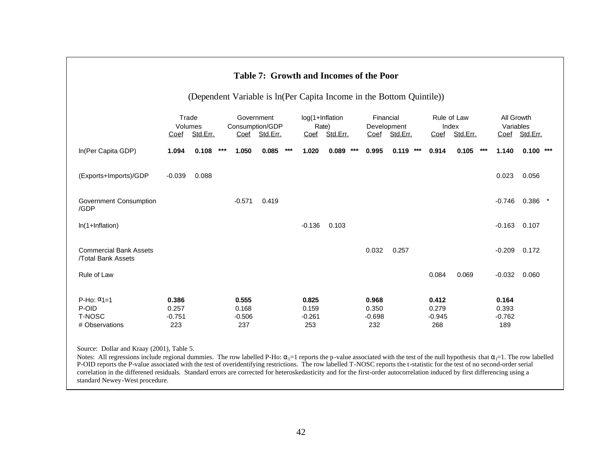|                                                                |                                   |                              |                                   |                                                |                                   | Table 7: Growth and Incomes of the Poor                              |                                   |                                           |                                   |                                  |                                   |             |
|----------------------------------------------------------------|-----------------------------------|------------------------------|-----------------------------------|------------------------------------------------|-----------------------------------|----------------------------------------------------------------------|-----------------------------------|-------------------------------------------|-----------------------------------|----------------------------------|-----------------------------------|-------------|
|                                                                |                                   |                              |                                   |                                                |                                   | (Dependent Variable is ln(Per Capita Income in the Bottom Quintile)) |                                   |                                           |                                   |                                  |                                   |             |
|                                                                | Coef                              | Trade<br>Volumes<br>Std.Err. |                                   | Government<br>Consumption/GDP<br>Coef Std.Err. | Coef                              | $log(1+Inflation)$<br>Rate)<br>Std.Err.                              |                                   | Financial<br>Development<br>Coef Std.Err. | Coef                              | Rule of Law<br>Index<br>Std.Err. | All Growth<br>Variables<br>Coef   | Std.Err.    |
| In(Per Capita GDP)                                             | 1.094                             | $***$<br>0.108               | 1.050                             | 0.085<br>***                                   | 1.020                             | ***<br>0.089                                                         | 0.995                             | $0.119$ ***                               | 0.914                             | 0.105<br>***                     | 1.140                             | $0.100$ *** |
| (Exports+Imports)/GDP                                          | $-0.039$                          | 0.088                        |                                   |                                                |                                   |                                                                      |                                   |                                           |                                   |                                  | 0.023                             | 0.056       |
| <b>Government Consumption</b><br>/GDP                          |                                   |                              | $-0.571$                          | 0.419                                          |                                   |                                                                      |                                   |                                           |                                   |                                  | $-0.746$                          | $0.386$ *   |
| $ln(1 + Inflation)$                                            |                                   |                              |                                   |                                                | $-0.136$                          | 0.103                                                                |                                   |                                           |                                   |                                  | $-0.163$                          | 0.107       |
| <b>Commercial Bank Assets</b><br><b>Total Bank Assets</b>      |                                   |                              |                                   |                                                |                                   |                                                                      | 0.032                             | 0.257                                     |                                   |                                  | $-0.209$                          | 0.172       |
| Rule of Law                                                    |                                   |                              |                                   |                                                |                                   |                                                                      |                                   |                                           | 0.084                             | 0.069                            | $-0.032$                          | 0.060       |
| P-Ho: $\alpha$ 1=1<br>P-OID<br><b>T-NOSC</b><br># Observations | 0.386<br>0.257<br>$-0.751$<br>223 |                              | 0.555<br>0.168<br>$-0.506$<br>237 |                                                | 0.825<br>0.159<br>$-0.261$<br>253 |                                                                      | 0.968<br>0.350<br>$-0.698$<br>232 |                                           | 0.412<br>0.279<br>$-0.945$<br>268 |                                  | 0.164<br>0.393<br>$-0.762$<br>189 |             |

Source: Dollar and Kraay (2001), Table 5.

Notes: All regressions include regional dummies. The row labelled P-Ho: α<sub>1</sub>=1 reports the p-value associated with the test of the null hypothesis that α<sub>1</sub>=1. The row labelled P-OID reports the P-value associated with the test of overidentifying restrictions. The row labelled T-NOSC reports the t-statistic for the test of no second-order serial correlation in the differened residuals. Standard errors are corrected for heteroskedasticity and for the first-order autocorrelation induced by first differencing using a standard Newey-West procedure.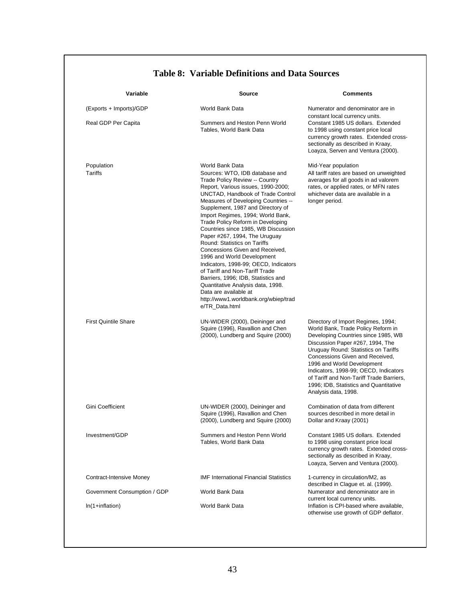| Variable                                       | Source                                                                                                                                                                                                                                                                                                                                                                                                                                                                                                                                                                                                                                                                                                                                  | <b>Comments</b>                                                                                                                                                                                                                                                                                                                                                                                                     |
|------------------------------------------------|-----------------------------------------------------------------------------------------------------------------------------------------------------------------------------------------------------------------------------------------------------------------------------------------------------------------------------------------------------------------------------------------------------------------------------------------------------------------------------------------------------------------------------------------------------------------------------------------------------------------------------------------------------------------------------------------------------------------------------------------|---------------------------------------------------------------------------------------------------------------------------------------------------------------------------------------------------------------------------------------------------------------------------------------------------------------------------------------------------------------------------------------------------------------------|
| (Exports + Imports)/GDP<br>Real GDP Per Capita | World Bank Data<br>Summers and Heston Penn World<br>Tables, World Bank Data                                                                                                                                                                                                                                                                                                                                                                                                                                                                                                                                                                                                                                                             | Numerator and denominator are in<br>constant local currency units.<br>Constant 1985 US dollars. Extended<br>to 1998 using constant price local<br>currency growth rates. Extended cross-<br>sectionally as described in Kraay,<br>Loayza, Serven and Ventura (2000).                                                                                                                                                |
| Population<br>Tariffs                          | World Bank Data<br>Sources: WTO, IDB database and<br>Trade Policy Review -- Country<br>Report, Various issues, 1990-2000;<br>UNCTAD, Handbook of Trade Control<br>Measures of Developing Countries --<br>Supplement, 1987 and Directory of<br>Import Regimes, 1994; World Bank,<br>Trade Policy Reform in Developing<br>Countries since 1985, WB Discussion<br>Paper #267, 1994, The Uruguay<br>Round: Statistics on Tariffs<br>Concessions Given and Received,<br>1996 and World Development<br>Indicators, 1998-99; OECD, Indicators<br>of Tariff and Non-Tariff Trade<br>Barriers, 1996; IDB, Statistics and<br>Quantitative Analysis data, 1998.<br>Data are available at<br>http://www1.worldbank.org/wbiep/trad<br>e/TR_Data.html | Mid-Year population<br>All tariff rates are based on unweighted<br>averages for all goods in ad valorem<br>rates, or applied rates, or MFN rates<br>whichever data are available in a<br>longer period.                                                                                                                                                                                                             |
| <b>First Quintile Share</b>                    | UN-WIDER (2000), Deininger and<br>Squire (1996), Ravallion and Chen<br>(2000), Lundberg and Squire (2000)                                                                                                                                                                                                                                                                                                                                                                                                                                                                                                                                                                                                                               | Directory of Import Regimes, 1994;<br>World Bank, Trade Policy Reform in<br>Developing Countries since 1985, WB<br>Discussion Paper #267, 1994, The<br>Uruguay Round: Statistics on Tariffs<br>Concessions Given and Received,<br>1996 and World Development<br>Indicators, 1998-99; OECD, Indicators<br>of Tariff and Non-Tariff Trade Barriers,<br>1996; IDB, Statistics and Quantitative<br>Analysis data, 1998. |
| Gini Coefficient                               | UN-WIDER (2000), Deininger and<br>Squire (1996), Ravallion and Chen<br>(2000), Lundberg and Squire (2000)                                                                                                                                                                                                                                                                                                                                                                                                                                                                                                                                                                                                                               | Combination of data from different<br>sources described in more detail in<br>Dollar and Kraay (2001)                                                                                                                                                                                                                                                                                                                |
| Investment/GDP                                 | Summers and Heston Penn World<br>Tables, World Bank Data                                                                                                                                                                                                                                                                                                                                                                                                                                                                                                                                                                                                                                                                                | Constant 1985 US dollars. Extended<br>to 1998 using constant price local<br>currency growth rates. Extended cross-<br>sectionally as described in Kraay,<br>Loayza, Serven and Ventura (2000).                                                                                                                                                                                                                      |
| Contract-Intensive Money                       | <b>IMF International Financial Statistics</b>                                                                                                                                                                                                                                                                                                                                                                                                                                                                                                                                                                                                                                                                                           | 1-currency in circulation/M2, as<br>described in Clague et. al. (1999).                                                                                                                                                                                                                                                                                                                                             |
| Government Consumption / GDP                   | World Bank Data                                                                                                                                                                                                                                                                                                                                                                                                                                                                                                                                                                                                                                                                                                                         | Numerator and denominator are in<br>current local currency units.                                                                                                                                                                                                                                                                                                                                                   |
| $ln(1 + inflation)$                            | World Bank Data                                                                                                                                                                                                                                                                                                                                                                                                                                                                                                                                                                                                                                                                                                                         | Inflation is CPI-based where available,<br>otherwise use growth of GDP deflator.                                                                                                                                                                                                                                                                                                                                    |

# **Table 8: Variable Definitions and Data Sources**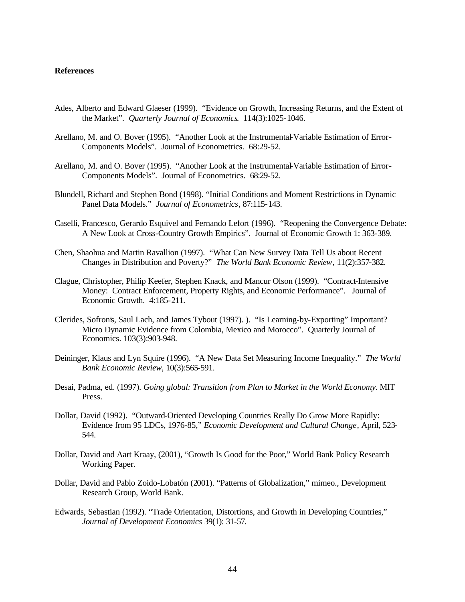### **References**

- Ades, Alberto and Edward Glaeser (1999). "Evidence on Growth, Increasing Returns, and the Extent of the Market". *Quarterly Journal of Economics*. 114(3):1025-1046.
- Arellano, M. and O. Bover (1995). "Another Look at the Instrumental-Variable Estimation of Error-Components Models". Journal of Econometrics. 68:29-52.
- Arellano, M. and O. Bover (1995). "Another Look at the Instrumental-Variable Estimation of Error-Components Models". Journal of Econometrics. 68:29-52.
- Blundell, Richard and Stephen Bond (1998). "Initial Conditions and Moment Restrictions in Dynamic Panel Data Models." *Journal of Econometrics*, 87:115-143.
- Caselli, Francesco, Gerardo Esquivel and Fernando Lefort (1996). "Reopening the Convergence Debate: A New Look at Cross-Country Growth Empirics". Journal of Economic Growth 1: 363-389.
- Chen, Shaohua and Martin Ravallion (1997). "What Can New Survey Data Tell Us about Recent Changes in Distribution and Poverty?" *The World Bank Economic Review*, 11(2):357-382.
- Clague, Christopher, Philip Keefer, Stephen Knack, and Mancur Olson (1999). "Contract-Intensive Money: Contract Enforcement, Property Rights, and Economic Performance". Journal of Economic Growth. 4:185-211.
- Clerides, Sofronis, Saul Lach, and James Tybout (1997). ). "Is Learning-by-Exporting" Important? Micro Dynamic Evidence from Colombia, Mexico and Morocco". Quarterly Journal of Economics. 103(3):903-948.
- Deininger, Klaus and Lyn Squire (1996). "A New Data Set Measuring Income Inequality." *The World Bank Economic Review*, 10(3):565-591.
- Desai, Padma, ed. (1997). *Going global: Transition from Plan to Market in the World Economy.* MIT Press.
- Dollar, David (1992). "Outward-Oriented Developing Countries Really Do Grow More Rapidly: Evidence from 95 LDCs, 1976-85," *Economic Development and Cultural Change*, April, 523- 544.
- Dollar, David and Aart Kraay, (2001), "Growth Is Good for the Poor," World Bank Policy Research Working Paper.
- Dollar, David and Pablo Zoido-Lobatón (2001). "Patterns of Globalization," mimeo., Development Research Group, World Bank.
- Edwards, Sebastian (1992). "Trade Orientation, Distortions, and Growth in Developing Countries," *Journal of Development Economics* 39(1): 31-57*.*